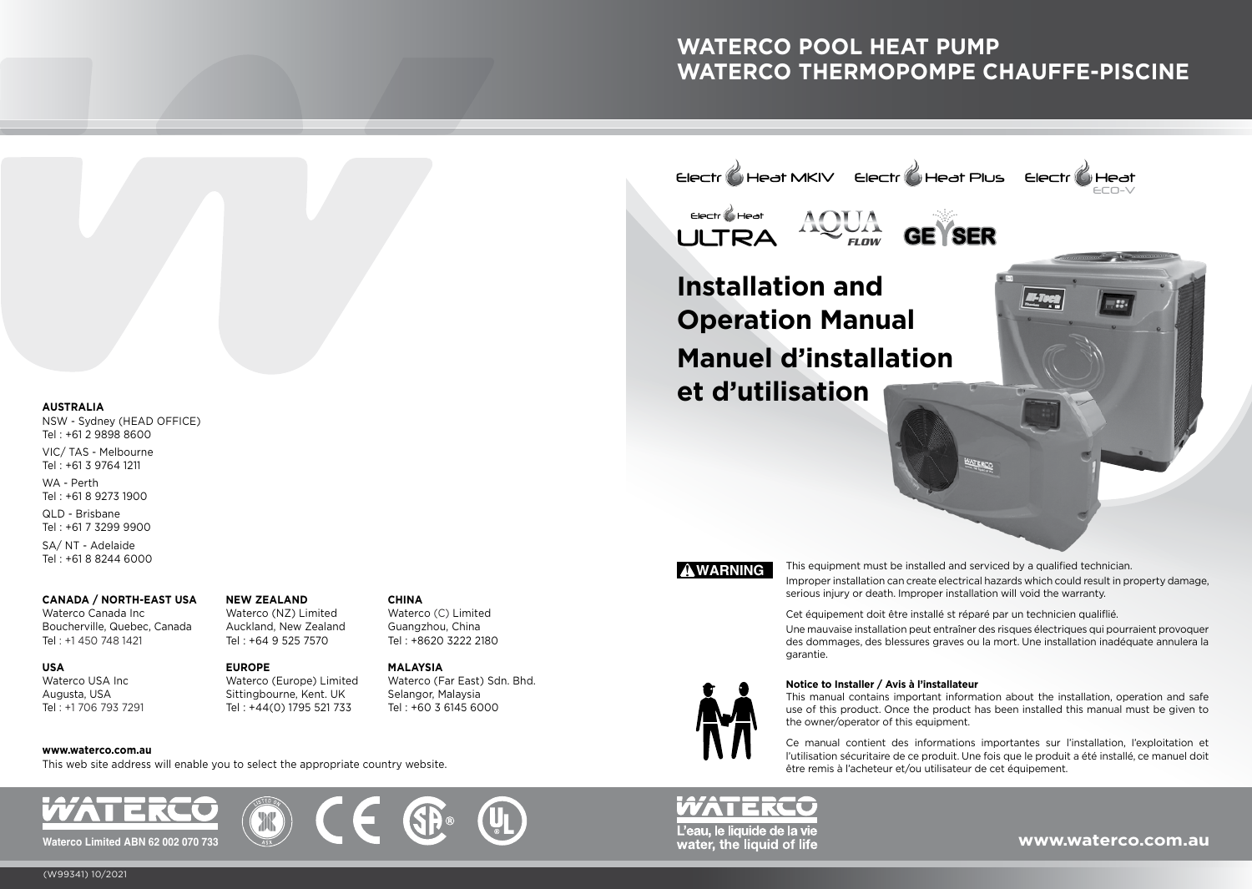# **WATERCO POOL HEAT PUMP WATERCO THERMOPOMPE CHAUFFE-PISCINE**

**AUSTRALIA** 

NSW - Sydney (HEAD OFFICE) Tel : +61 2 9898 8600

VIC/ TAS - Melbourne Tel : +61 3 9764 1211 WA - Perth

Tel : +61 8 9273 1900

QLD - Brisbane Tel : +61 7 3299 9900

SA/ NT - Adelaide Tel : +61 8 8244 6000

#### **CANADA / NORTH-EAST USA**

Waterco Canada Inc. Boucherville, Quebec, Canada Tel : +1 450 748 1421

#### **NEW ZEALAND**

Waterco (NZ) Limited Auckland, New Zealand Tel : +64 9 525 7570

**EUROPE** Waterco (Europe) Limited Sittingbourne, Kent. UK Tel : +44(0) 1795 521 733

#### **www.waterco.com.au**

Waterco USA Inc Augusta, USA Tel : +1 706 793 7291

**USA**

This web site address will enable you to select the appropriate country website.









**MALAYSIA**

Waterco (Far East) Sdn. Bhd. Selangor, Malaysia Tel : +60 3 6145 6000

! **WARNING**

**Installation and** 

Electr **C** Heat

**et d'utilisation**

**Operation Manual**

**Manuel d'installation**

*FLOW*

 $E$ lectr $\bigotimes$ Heat MKIV  $E$ lectr $\bigotimes$ Heat Plus

This equipment must be installed and serviced by a qualified technician. Improper installation can create electrical hazards which could result in property damage, serious injury or death. Improper installation will void the warranty.

**WERO** 

Cet équipement doit être installé st réparé par un technicien qualiflié.

Une mauvaise installation peut entraîner des risques électriques qui pourraient provoquer des dommages, des blessures graves ou la mort. Une installation inadéquate annulera la garantie.

#### **Notice to Installer / Avis à l'installateur**

This manual contains important information about the installation, operation and safe use of this product. Once the product has been installed this manual must be given to the owner/operator of this equipment.

Ce manual contient des informations importantes sur l'installation, I'exploitation et l'utilisation sécuritaire de ce produit. Une fois que le produit a été installé, ce manuel doit être remis à l'acheteur et/ou utilisateur de cet équipement.



ECO-V

Heat

Electr

#### (W99341) 10/2021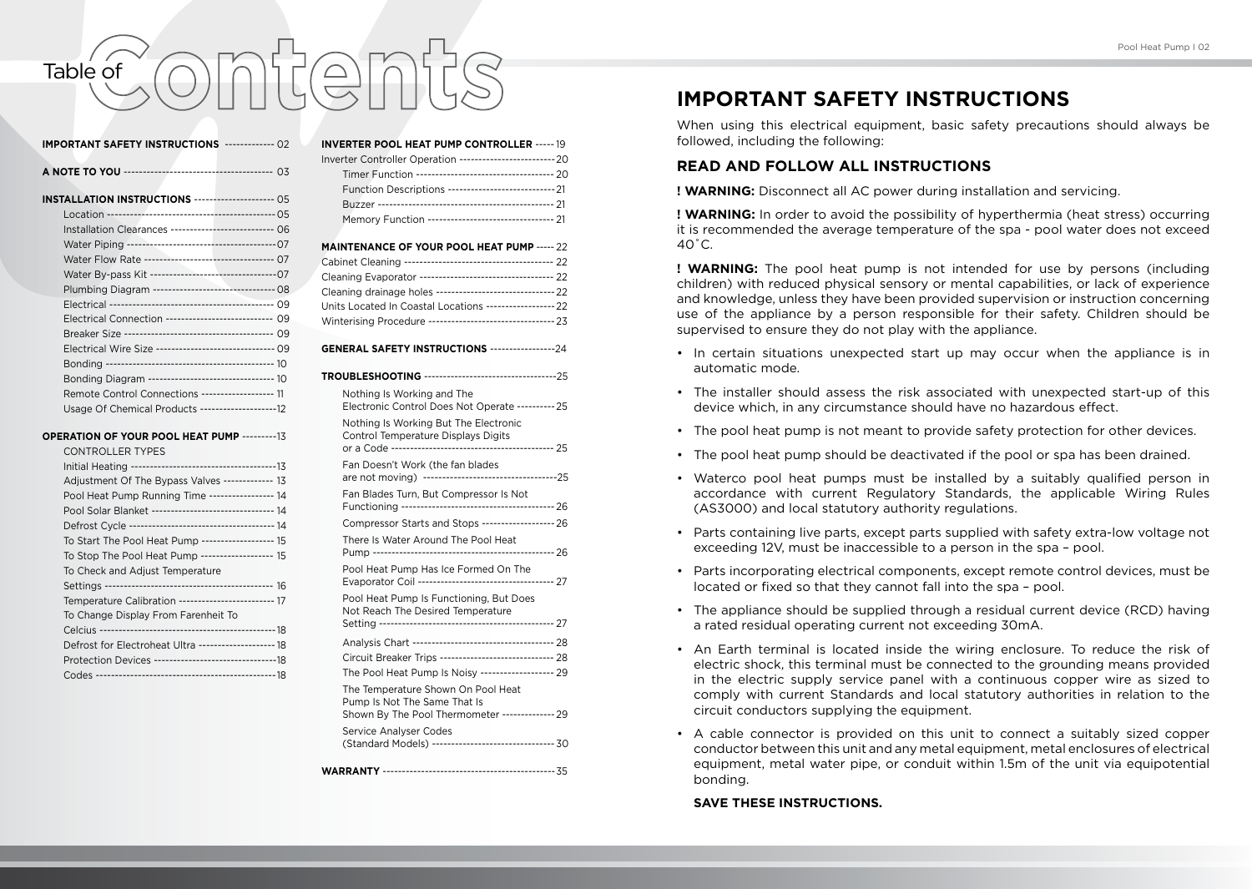# Pool Heat Pump I 02<br> **Table of Content Pump I Content of Content of Content Pump I or Content of Content Pump I or**<br> **IMPORTANT SAFETY INSTRUCTIONS**

| <b>IMPORTANT SAFETY INSTRUCTIONS ------------- 02</b>                   |  |
|-------------------------------------------------------------------------|--|
|                                                                         |  |
| <b>INSTALLATION INSTRUCTIONS -------------------- 05</b>                |  |
|                                                                         |  |
| Installation Clearances -------------------------- 06                   |  |
|                                                                         |  |
| Water Flow Rate --------------------------------- 07                    |  |
|                                                                         |  |
| Plumbing Diagram -------------------------------- 08                    |  |
|                                                                         |  |
| Electrical Connection --------------------------- 09                    |  |
|                                                                         |  |
| Electrical Wire Size -------------------------------- 09                |  |
|                                                                         |  |
| Bonding Diagram -------------------------------- 10                     |  |
| Remote Control Connections ------------------ 11                        |  |
|                                                                         |  |
| OPERATION OF YOUR POOL HEAT PUMP ---------13<br><b>CONTROLLER TYPES</b> |  |
|                                                                         |  |
| Adjustment Of The Bypass Valves ------------- 13                        |  |
| Pool Heat Pump Running Time ---------------- 14                         |  |
| Pool Solar Blanket -------------------------------- 14                  |  |
|                                                                         |  |
| To Start The Pool Heat Pump ------------------- 15                      |  |
| To Stop The Pool Heat Pump ------------------ 15                        |  |
| To Check and Adjust Temperature                                         |  |
|                                                                         |  |
| Temperature Calibration ------------------------ 17                     |  |

To Change Display From Farenheit To Celcius ---------------------------------------------- 18 Defrost for Electroheat Ultra -------------------- 18 Protection Devices --------------------------------18 Codes ----------------------------------------------- 18 **INVERTER POOL HEAT PUMP CONTROLLER** ----- 19 Inverter Controller Operation -------------------------20 Timer Function ------------------------------------ 20 Function Descriptions ----------------------------21 Buzzer ---------------------------------------------- 21 Memory Function --------------------------------- 21

#### **MAINTENANCE OF YOUR POOL HEAT PUMP** ----- 22

| Cleaning drainage holes --------------------------------- 22 |  |
|--------------------------------------------------------------|--|
|                                                              |  |
| Winterising Procedure ---------------------------------- 23  |  |

#### **GENERAL SAFETY INSTRUCTIONS** -----------------24

| Nothing Is Working and The<br>Electronic Control Does Not Operate ---------- 25                                       |  |
|-----------------------------------------------------------------------------------------------------------------------|--|
| Nothing Is Working But The Electronic<br>Control Temperature Displays Digits                                          |  |
| Fan Doesn't Work (the fan blades                                                                                      |  |
| Fan Blades Turn, But Compressor Is Not                                                                                |  |
| Compressor Starts and Stops ------------------- 26                                                                    |  |
| There Is Water Around The Pool Heat                                                                                   |  |
| Pool Heat Pump Has Ice Formed On The<br>Evaporator Coil ----------------------------------- 27                        |  |
| Pool Heat Pump Is Functioning, But Does<br>Not Reach The Desired Temperature                                          |  |
|                                                                                                                       |  |
| Circuit Breaker Trips ------------------------------ 28                                                               |  |
| The Pool Heat Pump Is Noisy ------------------- 29                                                                    |  |
| The Temperature Shown On Pool Heat<br>Pump Is Not The Same That Is<br>Shown By The Pool Thermometer -------------- 29 |  |
| Service Analyser Codes<br>(Standard Models) -------------------------------- 30                                       |  |

## **IMPORTANT SAFETY INSTRUCTIONS**

When using this electrical equipment, basic safety precautions should always be followed, including the following:

#### **READ AND FOLLOW ALL INSTRUCTIONS**

**! WARNING:** Disconnect all AC power during installation and servicing.

**! WARNING:** In order to avoid the possibility of hyperthermia (heat stress) occurring it is recommended the average temperature of the spa - pool water does not exceed  $40^{\circ}$ C.

**! WARNING:** The pool heat pump is not intended for use by persons (including children) with reduced physical sensory or mental capabilities, or lack of experience and knowledge, unless they have been provided supervision or instruction concerning use of the appliance by a person responsible for their safety. Children should be supervised to ensure they do not play with the appliance.

- In certain situations unexpected start up may occur when the appliance is in automatic mode.
- The installer should assess the risk associated with unexpected start-up of this device which, in any circumstance should have no hazardous effect.
- The pool heat pump is not meant to provide safety protection for other devices.
- The pool heat pump should be deactivated if the pool or spa has been drained.
- Waterco pool heat pumps must be installed by a suitably qualified person in accordance with current Regulatory Standards, the applicable Wiring Rules (AS3000) and local statutory authority regulations.
- Parts containing live parts, except parts supplied with safety extra-low voltage not exceeding 12V, must be inaccessible to a person in the spa – pool.
- Parts incorporating electrical components, except remote control devices, must be located or fixed so that they cannot fall into the spa – pool.
- The appliance should be supplied through a residual current device (RCD) having a rated residual operating current not exceeding 30mA.
- An Earth terminal is located inside the wiring enclosure. To reduce the risk of electric shock, this terminal must be connected to the grounding means provided in the electric supply service panel with a continuous copper wire as sized to comply with current Standards and local statutory authorities in relation to the circuit conductors supplying the equipment.
- A cable connector is provided on this unit to connect a suitably sized copper conductor between this unit and any metal equipment, metal enclosures of electrical equipment, metal water pipe, or conduit within 1.5m of the unit via equipotential bonding.

#### **SAVE THESE INSTRUCTIONS.**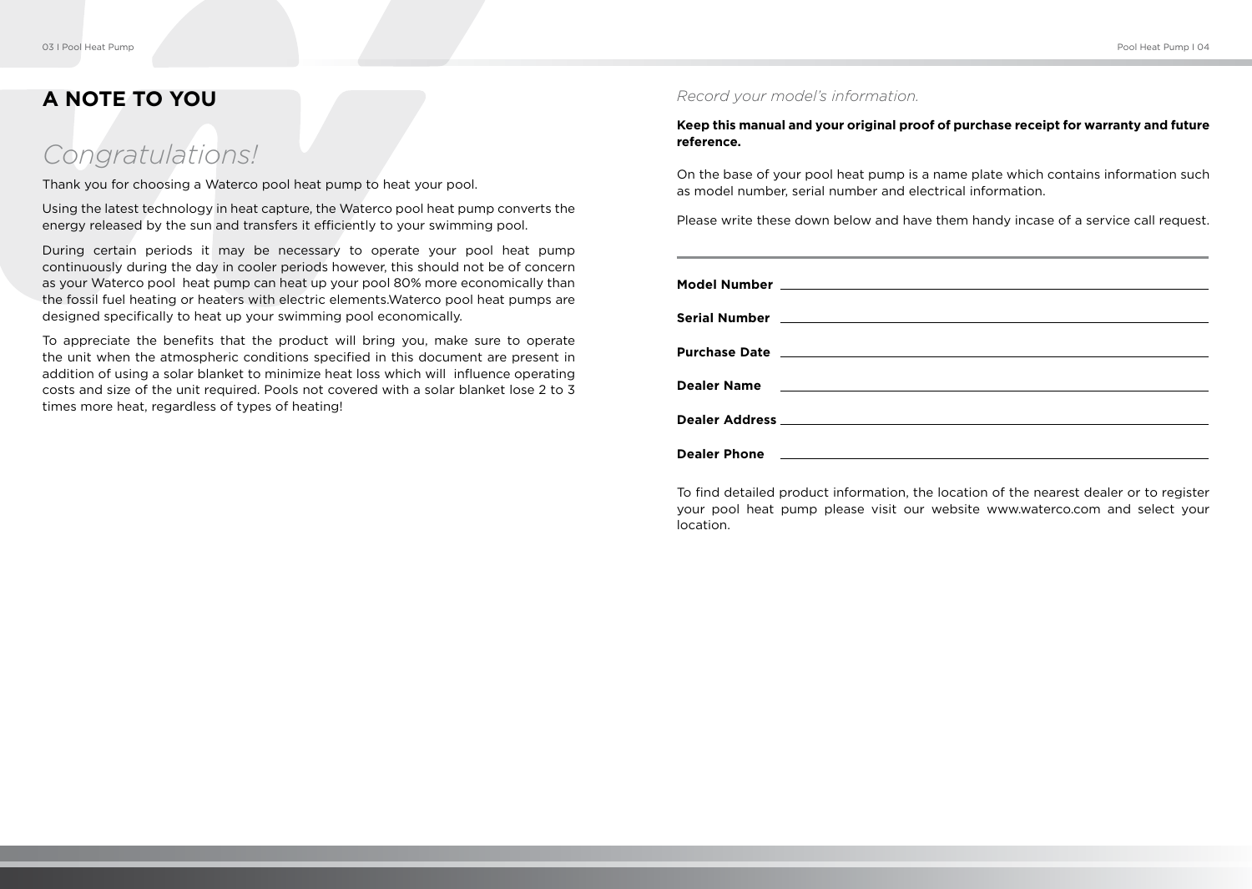# **A NOTE TO YOU**

# *Congratulations!*

Thank you for choosing a Waterco pool heat pump to heat your pool.

Using the latest technology in heat capture, the Waterco pool heat pump converts the energy released by the sun and transfers it efficiently to your swimming pool.

During certain periods it may be necessary to operate your pool heat pump continuously during the day in cooler periods however, this should not be of concern as your Waterco pool heat pump can heat up your pool 80% more economically than the fossil fuel heating or heaters with electric elements.Waterco pool heat pumps are designed specifically to heat up your swimming pool economically.

To appreciate the benefits that the product will bring you, make sure to operate the unit when the atmospheric conditions specified in this document are present in addition of using a solar blanket to minimize heat loss which will influence operating costs and size of the unit required. Pools not covered with a solar blanket lose 2 to 3 times more heat, regardless of types of heating!

#### *Record your model's information.*

**Keep this manual and your original proof of purchase receipt for warranty and future reference.**

On the base of your pool heat pump is a name plate which contains information such as model number, serial number and electrical information.

Please write these down below and have them handy incase of a service call request.

| Serial Number 2008 - 2008 - 2008 - 2008 - 2018 - 2019 - 2019 - 2019 - 2019 - 2019 - 2019 - 2019 - 2019 - 2019 |
|---------------------------------------------------------------------------------------------------------------|
|                                                                                                               |
|                                                                                                               |
|                                                                                                               |
| Dealer Name<br><u> 1980 - Johann Barnett, fransk politiker (d. 1980)</u>                                      |
|                                                                                                               |
|                                                                                                               |
|                                                                                                               |
|                                                                                                               |

To find detailed product information, the location of the nearest dealer or to register your pool heat pump please visit our website www.waterco.com and select your location.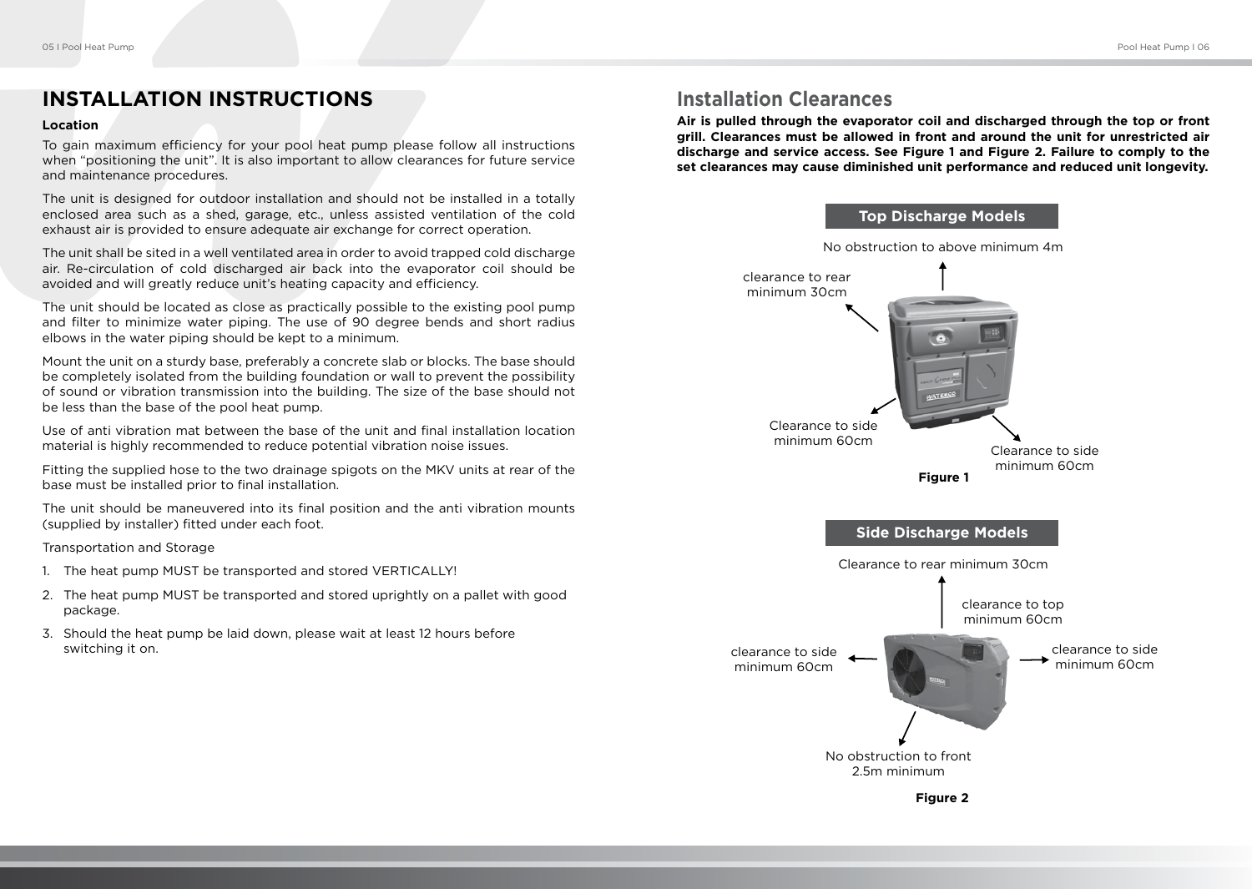## **INSTALLATION INSTRUCTIONS**

#### **Location**

To gain maximum efficiency for your pool heat pump please follow all instructions when "positioning the unit". It is also important to allow clearances for future service and maintenance procedures.

The unit is designed for outdoor installation and should not be installed in a totally enclosed area such as a shed, garage, etc., unless assisted ventilation of the cold exhaust air is provided to ensure adequate air exchange for correct operation.

The unit shall be sited in a well ventilated area in order to avoid trapped cold discharge air. Re-circulation of cold discharged air back into the evaporator coil should be avoided and will greatly reduce unit's heating capacity and efficiency.

The unit should be located as close as practically possible to the existing pool pump and filter to minimize water piping. The use of 90 degree bends and short radius elbows in the water piping should be kept to a minimum.

Mount the unit on a sturdy base, preferably a concrete slab or blocks. The base should be completely isolated from the building foundation or wall to prevent the possibility of sound or vibration transmission into the building. The size of the base should not be less than the base of the pool heat pump.

Use of anti vibration mat between the base of the unit and final installation location material is highly recommended to reduce potential vibration noise issues.

Fitting the supplied hose to the two drainage spigots on the MKV units at rear of the base must be installed prior to final installation.

The unit should be maneuvered into its final position and the anti vibration mounts (supplied by installer) fitted under each foot.

Transportation and Storage

- 1. The heat pump MUST be transported and stored VERTICALLY!
- 2. The heat pump MUST be transported and stored uprightly on a pallet with good package.
- 3. Should the heat pump be laid down, please wait at least 12 hours before switching it on.

## **Installation Clearances**

**Air is pulled through the evaporator coil and discharged through the top or front grill. Clearances must be allowed in front and around the unit for unrestricted air discharge and service access. See Figure 1 and Figure 2. Failure to comply to the set clearances may cause diminished unit performance and reduced unit longevity.**

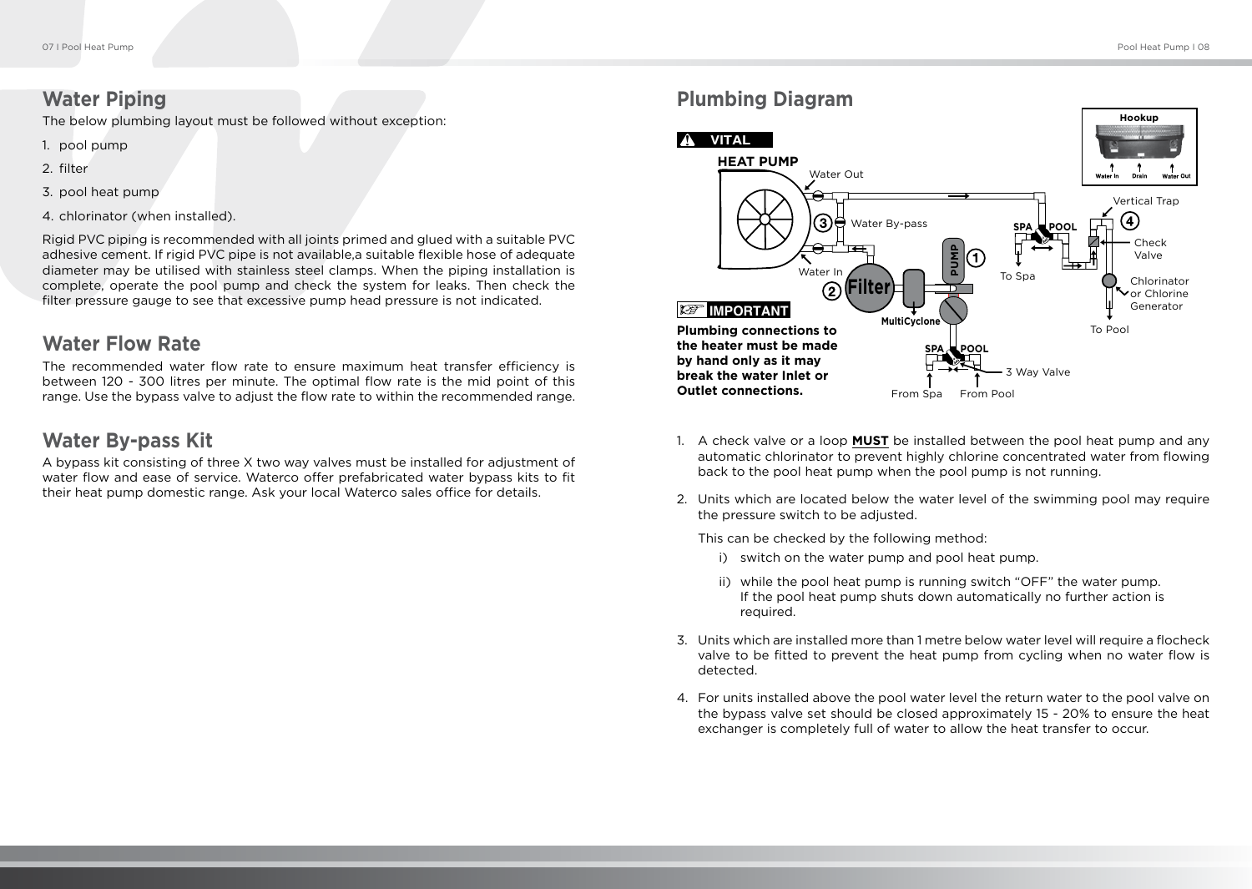#### **Water Piping**

The below plumbing layout must be followed without exception:

- 1. pool pump
- 2. filter
- 3. pool heat pump
- 4. chlorinator (when installed).

Rigid PVC piping is recommended with all joints primed and glued with a suitable PVC adhesive cement. If rigid PVC pipe is not available, a suitable flexible hose of adequate diameter may be utilised with stainless steel clamps. When the piping installation is complete, operate the pool pump and check the system for leaks. Then check the filter pressure gauge to see that excessive pump head pressure is not indicated.

#### **Water Flow Rate**

The recommended water flow rate to ensure maximum heat transfer efficiency is between 120 - 300 litres per minute. The optimal flow rate is the mid point of this range. Use the bypass valve to adjust the flow rate to within the recommended range.

#### **Water By-pass Kit**

A bypass kit consisting of three X two way valves must be installed for adjustment of water flow and ease of service. Waterco offer prefabricated water bypass kits to fit their heat pump domestic range. Ask your local Waterco sales office for details.

## **Plumbing Diagram**



- 1. A check valve or a loop **MUST** be installed between the pool heat pump and any automatic chlorinator to prevent highly chlorine concentrated water from flowing back to the pool heat pump when the pool pump is not running.
- 2. Units which are located below the water level of the swimming pool may require the pressure switch to be adjusted.

This can be checked by the following method:

- i) switch on the water pump and pool heat pump.
- ii) while the pool heat pump is running switch "OFF" the water pump. If the pool heat pump shuts down automatically no further action is required.
- 3. Units which are installed more than 1 metre below water level will require a flocheck valve to be fitted to prevent the heat pump from cycling when no water flow is detected.
- 4. For units installed above the pool water level the return water to the pool valve on the bypass valve set should be closed approximately 15 - 20% to ensure the heat exchanger is completely full of water to allow the heat transfer to occur.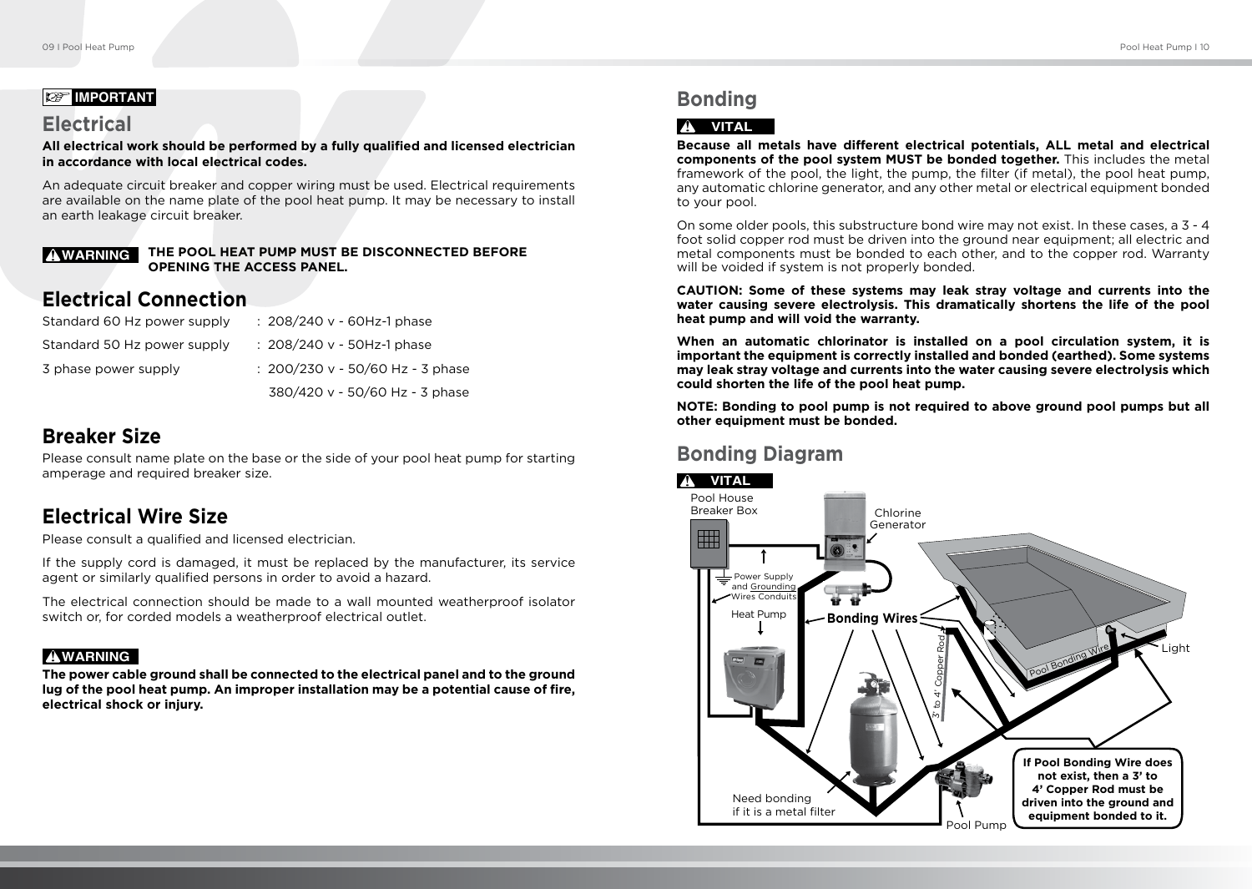#### **IMPORTANT**

#### **Electrical**

**All electrical work should be performed by a fully qualified and licensed electrician in accordance with local electrical codes.**

An adequate circuit breaker and copper wiring must be used. Electrical requirements are available on the name plate of the pool heat pump. It may be necessary to install an earth leakage circuit breaker.

#### **THE POOL HEAT PUMP MUST BE DISCONNECTED BEFORE OPENING THE ACCESS PANEL.** ! **WARNING**

## **Electrical Connection**

| Standard 60 Hz power supply | : 208/240 v - 60Hz-1 phase           |
|-----------------------------|--------------------------------------|
| Standard 50 Hz power supply | : 208/240 v - 50Hz-1 phase           |
| 3 phase power supply        | : $200/230$ v - $50/60$ Hz - 3 phase |
|                             | 380/420 v - 50/60 Hz - 3 phase       |

## **Breaker Size**

Please consult name plate on the base or the side of your pool heat pump for starting amperage and required breaker size.

# **Electrical Wire Size**

Please consult a qualified and licensed electrician.

If the supply cord is damaged, it must be replaced by the manufacturer, its service agent or similarly qualified persons in order to avoid a hazard.

The electrical connection should be made to a wall mounted weatherproof isolator switch or, for corded models a weatherproof electrical outlet.

#### ! **WARNING**

**The power cable ground shall be connected to the electrical panel and to the ground lug of the pool heat pump. An improper installation may be a potential cause of fire, electrical shock or injury.**

# **Bonding**

#### ! **VITAL**

**Because all metals have different electrical potentials, ALL metal and electrical components of the pool system MUST be bonded together.** This includes the metal framework of the pool, the light, the pump, the filter (if metal), the pool heat pump, any automatic chlorine generator, and any other metal or electrical equipment bonded to your pool.

On some older pools, this substructure bond wire may not exist. In these cases, a 3 - 4 foot solid copper rod must be driven into the ground near equipment; all electric and metal components must be bonded to each other, and to the copper rod. Warranty will be voided if system is not properly bonded.

**CAUTION: Some of these systems may leak stray voltage and currents into the water causing severe electrolysis. This dramatically shortens the life of the pool heat pump and will void the warranty.** 

**When an automatic chlorinator is installed on a pool circulation system, it is important the equipment is correctly installed and bonded (earthed). Some systems may leak stray voltage and currents into the water causing severe electrolysis which could shorten the life of the pool heat pump.**

**NOTE: Bonding to pool pump is not required to above ground pool pumps but all other equipment must be bonded.**

# **Bonding Diagram**

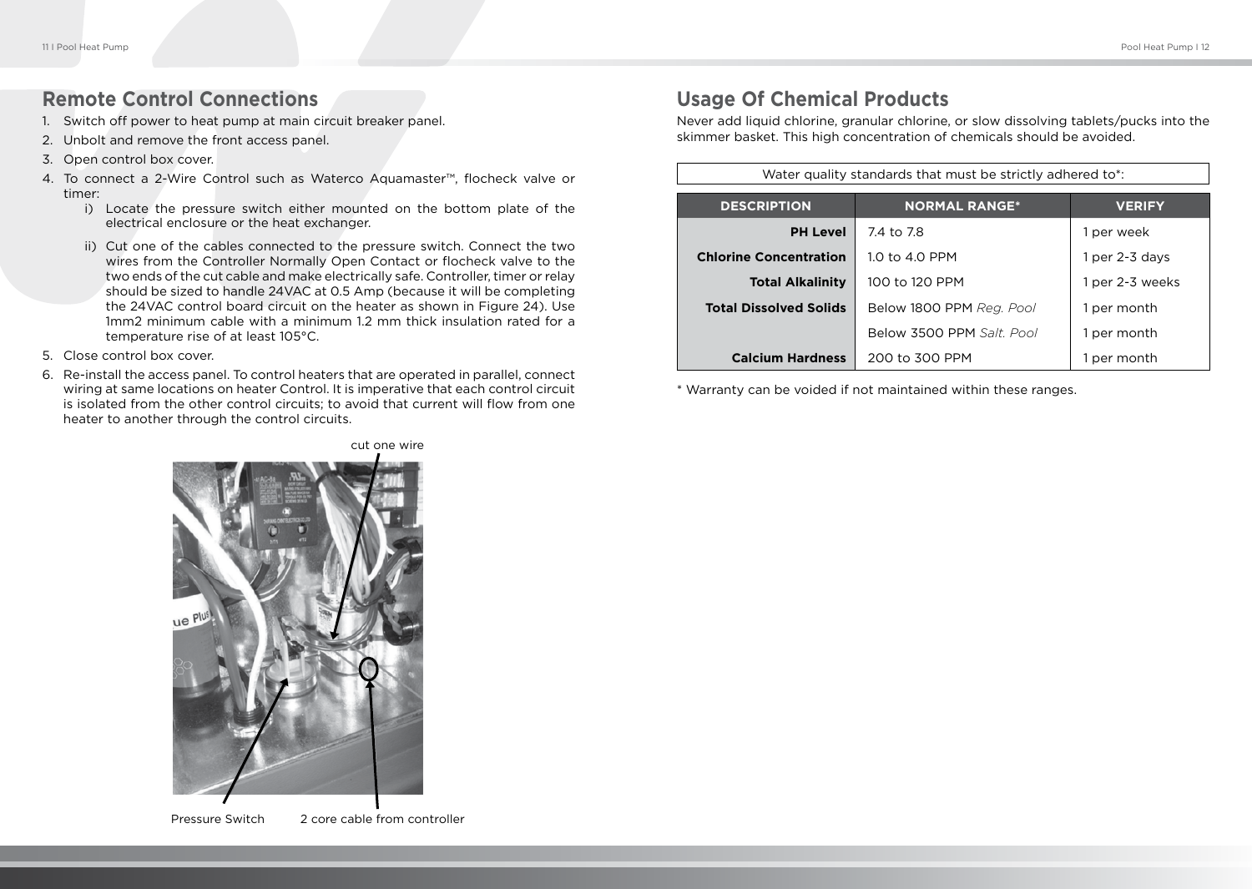#### **Remote Control Connections**

- 1. Switch off power to heat pump at main circuit breaker panel.
- 2. Unbolt and remove the front access panel.
- 3. Open control box cover.
- 4. To connect a 2-Wire Control such as Waterco Aquamaster™, flocheck valve or timer:
	- i) Locate the pressure switch either mounted on the bottom plate of the electrical enclosure or the heat exchanger.
	- ii) Cut one of the cables connected to the pressure switch. Connect the two wires from the Controller Normally Open Contact or flocheck valve to the two ends of the cut cable and make electrically safe. Controller, timer or relay should be sized to handle 24VAC at 0.5 Amp (because it will be completing the 24VAC control board circuit on the heater as shown in Figure 24). Use 1mm2 minimum cable with a minimum 1.2 mm thick insulation rated for a temperature rise of at least 105°C.
- 5. Close control box cover.
- 6. Re-install the access panel. To control heaters that are operated in parallel, connect wiring at same locations on heater Control. It is imperative that each control circuit is isolated from the other control circuits; to avoid that current will flow from one heater to another through the control circuits.

# **Usage Of Chemical Products**

Never add liquid chlorine, granular chlorine, or slow dissolving tablets/pucks into the skimmer basket. This high concentration of chemicals should be avoided.

| Water quality standards that must be strictly adhered to*: |                           |                 |  |
|------------------------------------------------------------|---------------------------|-----------------|--|
| <b>DESCRIPTION</b>                                         | <b>NORMAL RANGE*</b>      | <b>VERIFY</b>   |  |
| <b>PH Level</b>                                            | 7.4 to 7.8                | 1 per week      |  |
| <b>Chlorine Concentration</b>                              | 1.0 to 4.0 PPM            | 1 per 2-3 days  |  |
| <b>Total Alkalinity</b>                                    | 100 to 120 PPM            | 1 per 2-3 weeks |  |
| <b>Total Dissolved Solids</b>                              | Below 1800 PPM Reg. Pool  | 1 per month     |  |
|                                                            | Below 3500 PPM Salt, Pool | 1 per month     |  |
| <b>Calcium Hardness</b>                                    | 200 to 300 PPM            | 1 per month     |  |

\* Warranty can be voided if not maintained within these ranges.



Pressure Switch 2 core cable from controller

cut one wire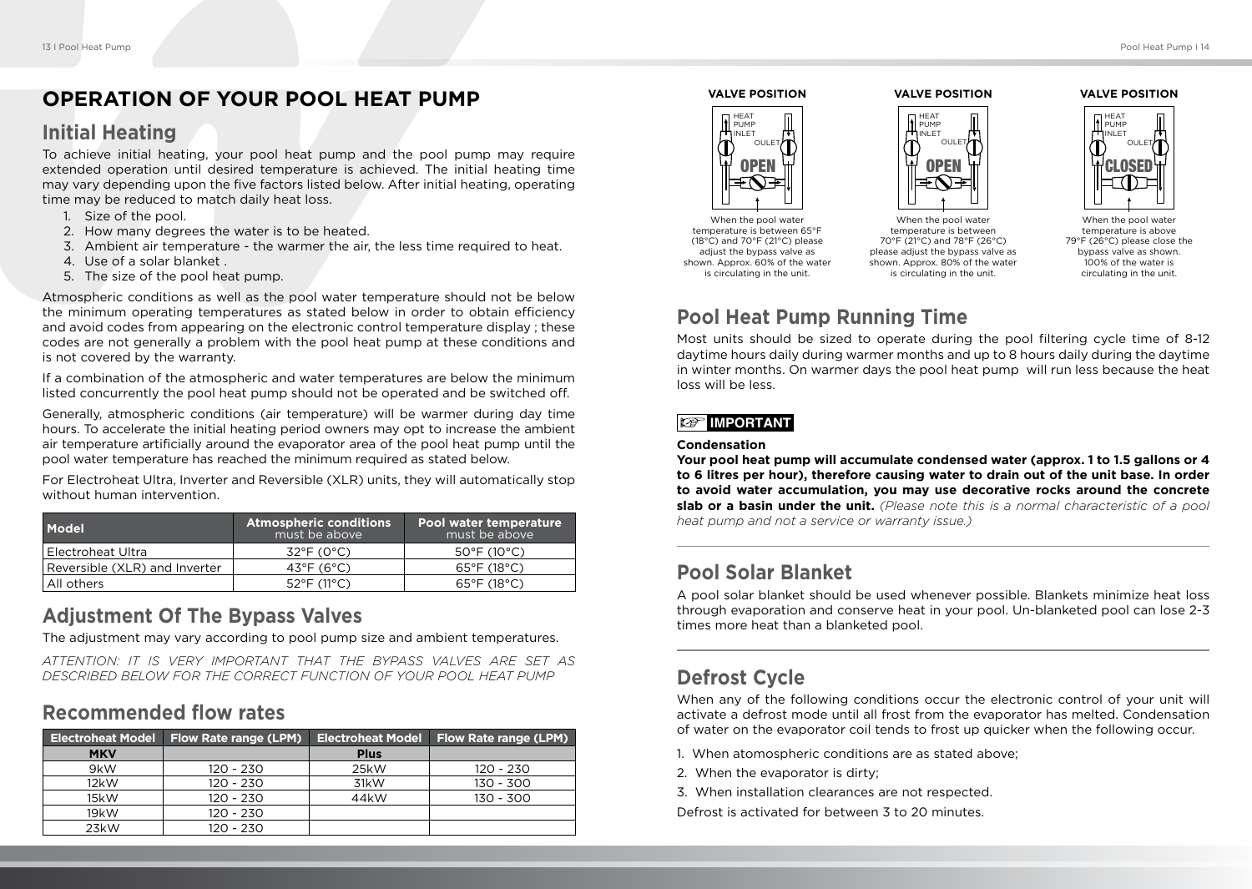#### **OPERATION OF YOUR POOL HEAT PUMP**

#### **Initial Heating**

To achieve initial heating, your pool heat pump and the pool pump may require extended operation until desired temperature is achieved. The initial heating time may vary depending upon the five factors listed below. After initial heating, operating time may be reduced to match daily heat loss.

- 1. Size of the pool.
- 2. How many degrees the water is to be heated.
- 3. Ambient air temperature the warmer the air, the less time required to heat.
- 4. Use of a solar blanket .
- 5. The size of the pool heat pump.

Atmospheric conditions as well as the pool water temperature should not be below the minimum operating temperatures as stated below in order to obtain efficiency and avoid codes from appearing on the electronic control temperature display ; these codes are not generally a problem with the pool heat pump at these conditions and is not covered by the warranty.

If a combination of the atmospheric and water temperatures are below the minimum listed concurrently the pool heat pump should not be operated and be switched off.

Generally, atmospheric conditions (air temperature) will be warmer during day time hours. To accelerate the initial heating period owners may opt to increase the ambient air temperature artificially around the evaporator area of the pool heat pump until the pool water temperature has reached the minimum required as stated below.

For Electroheat Ultra, Inverter and Reversible (XLR) units, they will automatically stop without human intervention.

| Model                         | <b>Atmospheric conditions</b><br>must be above | Pool water temperature<br>must be above |
|-------------------------------|------------------------------------------------|-----------------------------------------|
| l Electroheat Ultra           | $32^{\circ}$ F (0°C)                           | $50^{\circ}$ F (10 $^{\circ}$ C)        |
| Reversible (XLR) and Inverter | 43°F (6°C)                                     | $65^{\circ}$ F (18 $^{\circ}$ C)        |
| All others                    | $52^{\circ}$ F (11 $^{\circ}$ C)               | $65^{\circ}$ F (18 $^{\circ}$ C)        |

## **Adjustment Of The Bypass Valves**

The adjustment may vary according to pool pump size and ambient temperatures.

*ATTENTION: IT IS VERY IMPORTANT THAT THE BYPASS VALVES ARE SET AS DESCRIBED BELOW FOR THE CORRECT FUNCTION OF YOUR POOL HEAT PUMP*

## **Recommended flow rates**

| <b>Electroheat Model</b> | Flow Rate range (LPM) | <b>Electroheat Model</b> | Flow Rate range (LPM) |
|--------------------------|-----------------------|--------------------------|-----------------------|
| <b>MKV</b>               |                       | <b>Plus</b>              |                       |
| 9kW                      | 120 - 230             | 25kW                     | 120 - 230             |
| 12kW                     | 120 - 230             | 31kW                     | 130 - 300             |
| 15kW                     | 120 - 230             | 44 <sub>k</sub> W        | 130 - 300             |
| 19kW                     | 120 - 230             |                          |                       |
| 23kW                     | 120 - 230             |                          |                       |

# **VALVE POSITION OPEI** HEAT PUMP INLET OULE

When the pool water temperature is between 65°F (18°C) and 70°F (21°C) please adjust the bypass valve as shown. Approx. 60% of the water is circulating in the unit.



**VALVE POSITION**

When the pool water temperature is between 70°F (21°C) and 78°F (26°C) please adjust the bypass valve as shown. Approx. 80% of the water is circulating in the unit.

#### **VALVE POSITION**



When the pool water temperature is above 79°F (26°C) please close the bypass valve as shown. 100% of the water is circulating in the unit.

# **Pool Heat Pump Running Time**

Most units should be sized to operate during the pool filtering cycle time of 8-12 daytime hours daily during warmer months and up to 8 hours daily during the daytime in winter months. On warmer days the pool heat pump will run less because the heat loss will be less.

#### **IMPORTANT**

#### **Condensation**

**Your pool heat pump will accumulate condensed water (approx. 1 to 1.5 gallons or 4 to 6 litres per hour), therefore causing water to drain out of the unit base. In order to avoid water accumulation, you may use decorative rocks around the concrete slab or a basin under the unit.** *(Please note this is a normal characteristic of a pool heat pump and not a service or warranty issue.)*

# **Pool Solar Blanket**

A pool solar blanket should be used whenever possible. Blankets minimize heat loss through evaporation and conserve heat in your pool. Un-blanketed pool can lose 2-3 times more heat than a blanketed pool.

## **Defrost Cycle**

When any of the following conditions occur the electronic control of your unit will activate a defrost mode until all frost from the evaporator has melted. Condensation of water on the evaporator coil tends to frost up quicker when the following occur.

- 1. When atomospheric conditions are as stated above;
- 2. When the evaporator is dirty;
- 3. When installation clearances are not respected.

Defrost is activated for between 3 to 20 minutes.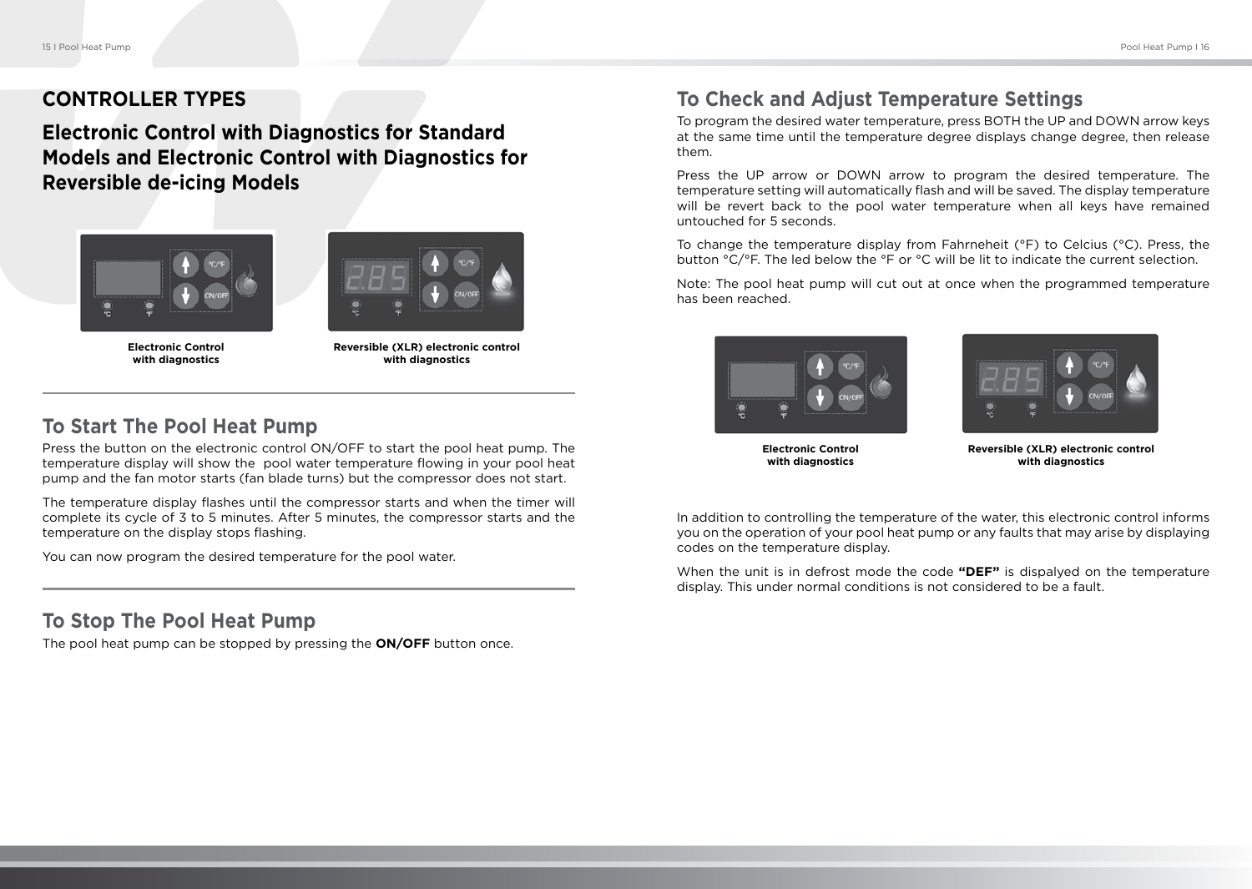## **CONTROLLER TYPES**

**Electronic Control with Diagnostics for Standard Models and Electronic Control with Diagnostics for Reversible de-icing Models**





**Electronic Control with diagnostics**

**Reversible (XLR) electronic control with diagnostics**

#### **To Start The Pool Heat Pump**

Press the button on the electronic control ON/OFF to start the pool heat pump. The temperature display will show the pool water temperature flowing in your pool heat pump and the fan motor starts (fan blade turns) but the compressor does not start.

The temperature display flashes until the compressor starts and when the timer will complete its cycle of 3 to 5 minutes. After 5 minutes, the compressor starts and the temperature on the display stops flashing.

You can now program the desired temperature for the pool water.

#### **To Stop The Pool Heat Pump**

The pool heat pump can be stopped by pressing the **ON/OFF** button once.

## **To Check and Adjust Temperature Settings**

To program the desired water temperature, press BOTH the UP and DOWN arrow keys at the same time until the temperature degree displays change degree, then release them.

Press the UP arrow or DOWN arrow to program the desired temperature. The temperature setting will automatically flash and will be saved. The display temperature will be revert back to the pool water temperature when all keys have remained untouched for 5 seconds.

To change the temperature display from Fahrneheit (°F) to Celcius (°C). Press, the button °C/°F. The led below the °F or °C will be lit to indicate the current selection.

Note: The pool heat pump will cut out at once when the programmed temperature has been reached.





**Electronic Control with diagnostics**

**Reversible (XLR) electronic control with diagnostics**

In addition to controlling the temperature of the water, this electronic control informs you on the operation of your pool heat pump or any faults that may arise by displaying codes on the temperature display.

When the unit is in defrost mode the code **"DEF"** is dispalyed on the temperature display. This under normal conditions is not considered to be a fault.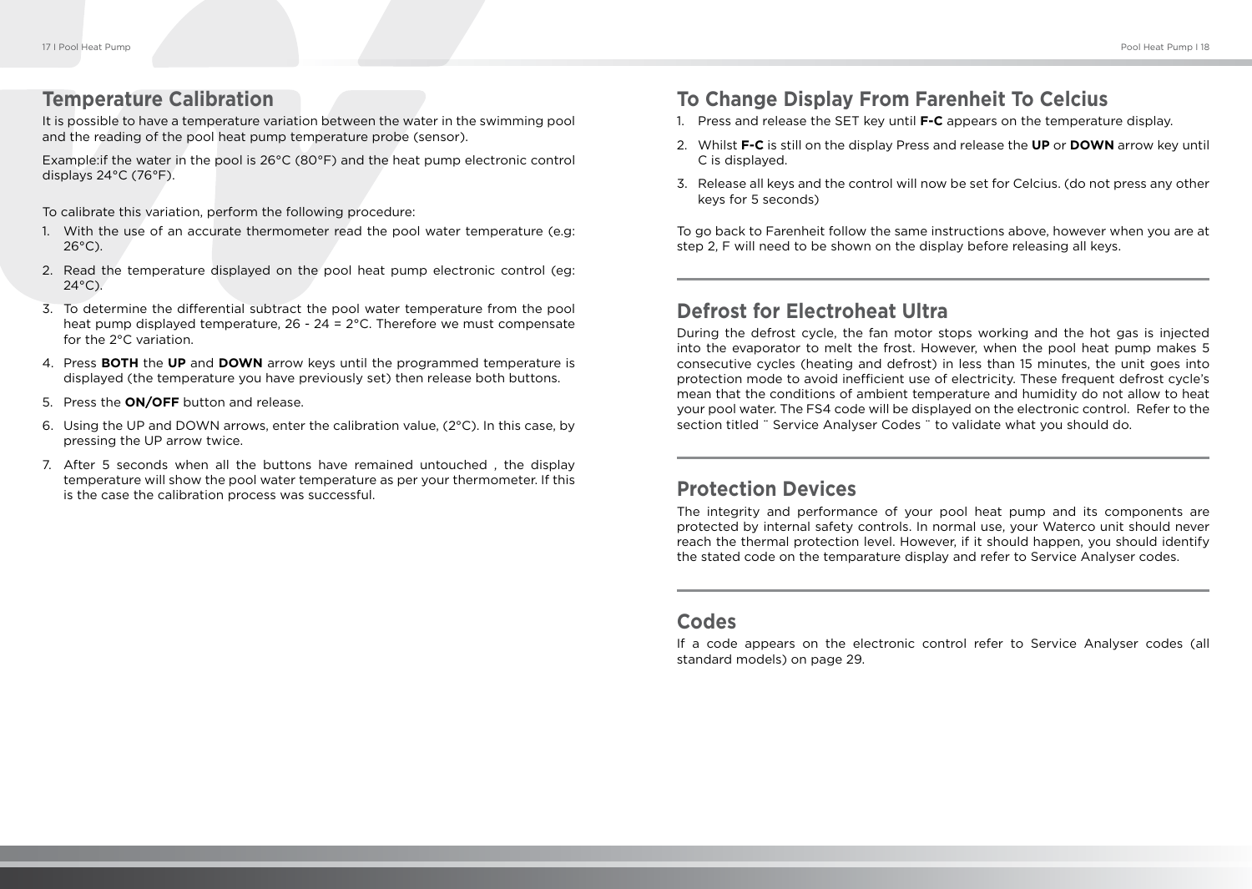#### **Temperature Calibration**

It is possible to have a temperature variation between the water in the swimming pool and the reading of the pool heat pump temperature probe (sensor).

Example:if the water in the pool is 26°C (80°F) and the heat pump electronic control displays 24°C (76°F).

To calibrate this variation, perform the following procedure:

- 1. With the use of an accurate thermometer read the pool water temperature (e.g:  $26^{\circ}$ C).
- 2. Read the temperature displayed on the pool heat pump electronic control (eg: 24°C).
- 3. To determine the differential subtract the pool water temperature from the pool heat pump displayed temperature,  $26 - 24 = 2^{\circ}$ C. Therefore we must compensate for the 2°C variation.
- 4. Press **BOTH** the **UP** and **DOWN** arrow keys until the programmed temperature is displayed (the temperature you have previously set) then release both buttons.
- 5. Press the **ON/OFF** button and release.
- 6. Using the UP and DOWN arrows, enter the calibration value,  $(2^{\circ}C)$ . In this case, by pressing the UP arrow twice.
- 7. After 5 seconds when all the buttons have remained untouched , the display temperature will show the pool water temperature as per your thermometer. If this is the case the calibration process was successful.

# **To Change Display From Farenheit To Celcius**

- 1. Press and release the SET key until **F-C** appears on the temperature display.
- 2. Whilst **F-C** is still on the display Press and release the **UP** or **DOWN** arrow key until C is displayed.
- 3. Release all keys and the control will now be set for Celcius. (do not press any other keys for 5 seconds)

To go back to Farenheit follow the same instructions above, however when you are at step 2, F will need to be shown on the display before releasing all keys.

## **Defrost for Electroheat Ultra**

During the defrost cycle, the fan motor stops working and the hot gas is injected into the evaporator to melt the frost. However, when the pool heat pump makes 5 consecutive cycles (heating and defrost) in less than 15 minutes, the unit goes into protection mode to avoid inefficient use of electricity. These frequent defrost cycle's mean that the conditions of ambient temperature and humidity do not allow to heat your pool water. The FS4 code will be displayed on the electronic control. Refer to the section titled ¨ Service Analyser Codes ¨ to validate what you should do.

## **Protection Devices**

The integrity and performance of your pool heat pump and its components are protected by internal safety controls. In normal use, your Waterco unit should never reach the thermal protection level. However, if it should happen, you should identify the stated code on the temparature display and refer to Service Analyser codes.

#### **Codes**

If a code appears on the electronic control refer to Service Analyser codes (all standard models) on page 29.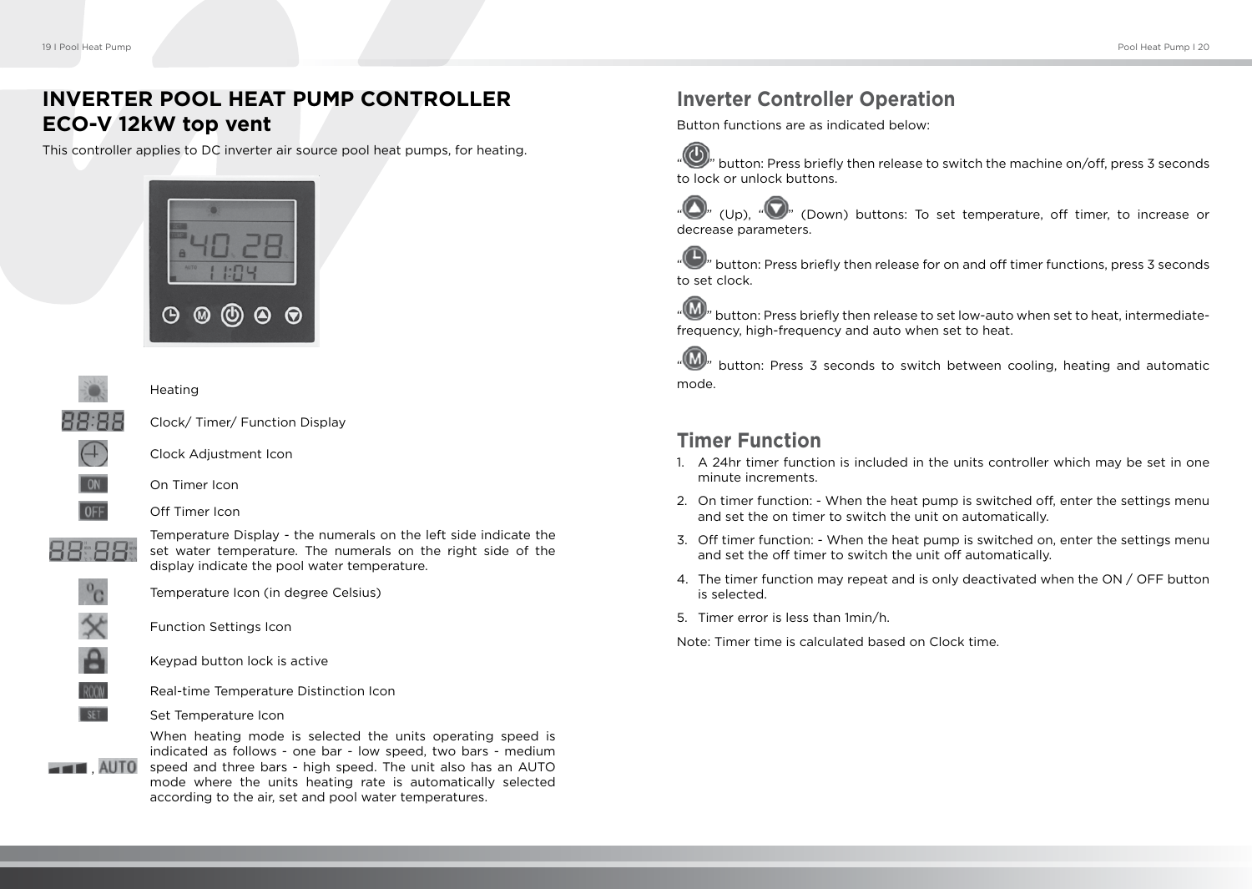# **INVERTER POOL HEAT PUMP CONTROLLER ECO-V 12kW top vent**

This controller applies to DC inverter air source pool heat pumps, for heating.





**Heating** 



Clock/ Timer/ Function Display



Clock Adjustment Icon



On Timer Icon Off Timer Icon



Temperature Display - the numerals on the left side indicate the set water temperature. The numerals on the right side of the display indicate the pool water temperature.



Temperature Icon (in degree Celsius)

Function Settings Icon



**SFT** 

,

Keypad button lock is active



Set Temperature Icon

When heating mode is selected the units operating speed is indicated as follows - one bar - low speed, two bars - medium speed and three bars - high speed. The unit also has an AUTO mode where the units heating rate is automatically selected according to the air, set and pool water temperatures.

# **Inverter Controller Operation**

Button functions are as indicated below:



' button: Press briefly then release to switch the machine on/off, press 3 seconds to lock or unlock buttons.

(Up),  $\sqrt[n]{\ }$  (Down) buttons: To set temperature, off timer, to increase or decrease parameters.

button: Press briefly then release for on and off timer functions, press 3 seconds to set clock.

' button: Press briefly then release to set low-auto when set to heat, intermediatefrequency, high-frequency and auto when set to heat.

button: Press 3 seconds to switch between cooling, heating and automatic mode.

## **Timer Function**

- 1. A 24hr timer function is included in the units controller which may be set in one minute increments.
- 2. On timer function: When the heat pump is switched off, enter the settings menu and set the on timer to switch the unit on automatically.
- 3. Off timer function: When the heat pump is switched on, enter the settings menu and set the off timer to switch the unit off automatically.
- 4. The timer function may repeat and is only deactivated when the ON / OFF button is selected.
- 5. Timer error is less than 1min/h.

Note: Timer time is calculated based on Clock time.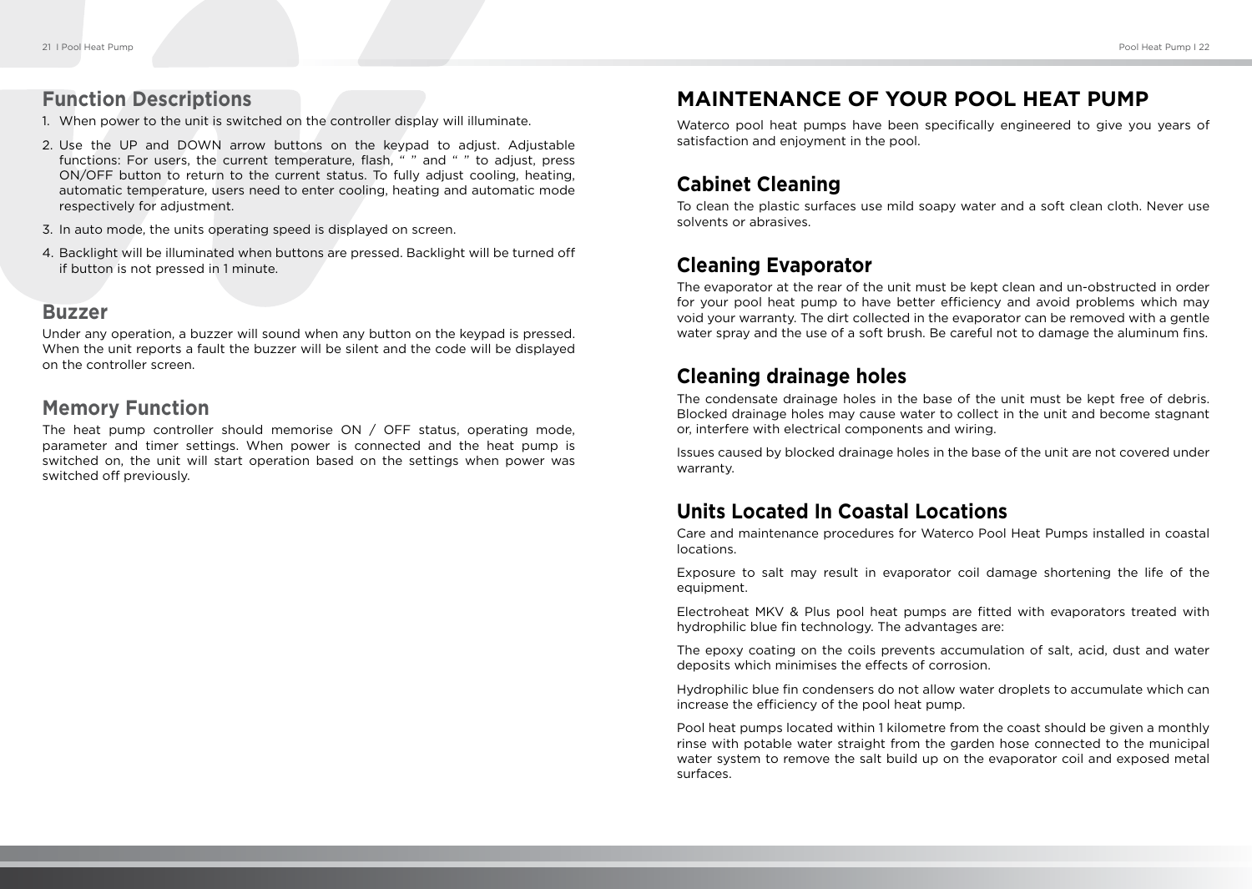#### **Function Descriptions**

- 1. When power to the unit is switched on the controller display will illuminate.
- 2. Use the UP and DOWN arrow buttons on the keypad to adjust. Adjustable functions: For users, the current temperature, flash, " " and " " to adjust, press ON/OFF button to return to the current status. To fully adjust cooling, heating, automatic temperature, users need to enter cooling, heating and automatic mode respectively for adjustment.
- 3. In auto mode, the units operating speed is displayed on screen.
- 4. Backlight will be illuminated when buttons are pressed. Backlight will be turned off if button is not pressed in 1 minute.

#### **Buzzer**

Under any operation, a buzzer will sound when any button on the keypad is pressed. When the unit reports a fault the buzzer will be silent and the code will be displayed on the controller screen.

#### **Memory Function**

The heat pump controller should memorise ON / OFF status, operating mode, parameter and timer settings. When power is connected and the heat pump is switched on, the unit will start operation based on the settings when power was switched off previously.

#### **MAINTENANCE OF YOUR POOL HEAT PUMP**

Waterco pool heat pumps have been specifically engineered to give you years of satisfaction and enjoyment in the pool.

# **Cabinet Cleaning**

To clean the plastic surfaces use mild soapy water and a soft clean cloth. Never use solvents or abrasives.

#### **Cleaning Evaporator**

The evaporator at the rear of the unit must be kept clean and un-obstructed in order for your pool heat pump to have better efficiency and avoid problems which may void your warranty. The dirt collected in the evaporator can be removed with a gentle water spray and the use of a soft brush. Be careful not to damage the aluminum fins.

## **Cleaning drainage holes**

The condensate drainage holes in the base of the unit must be kept free of debris. Blocked drainage holes may cause water to collect in the unit and become stagnant or, interfere with electrical components and wiring.

Issues caused by blocked drainage holes in the base of the unit are not covered under warranty.

#### **Units Located In Coastal Locations**

Care and maintenance procedures for Waterco Pool Heat Pumps installed in coastal locations.

Exposure to salt may result in evaporator coil damage shortening the life of the equipment.

Electroheat MKV & Plus pool heat pumps are fitted with evaporators treated with hydrophilic blue fin technology. The advantages are:

The epoxy coating on the coils prevents accumulation of salt, acid, dust and water deposits which minimises the effects of corrosion.

Hydrophilic blue fin condensers do not allow water droplets to accumulate which can increase the efficiency of the pool heat pump.

Pool heat pumps located within 1 kilometre from the coast should be given a monthly rinse with potable water straight from the garden hose connected to the municipal water system to remove the salt build up on the evaporator coil and exposed metal surfaces.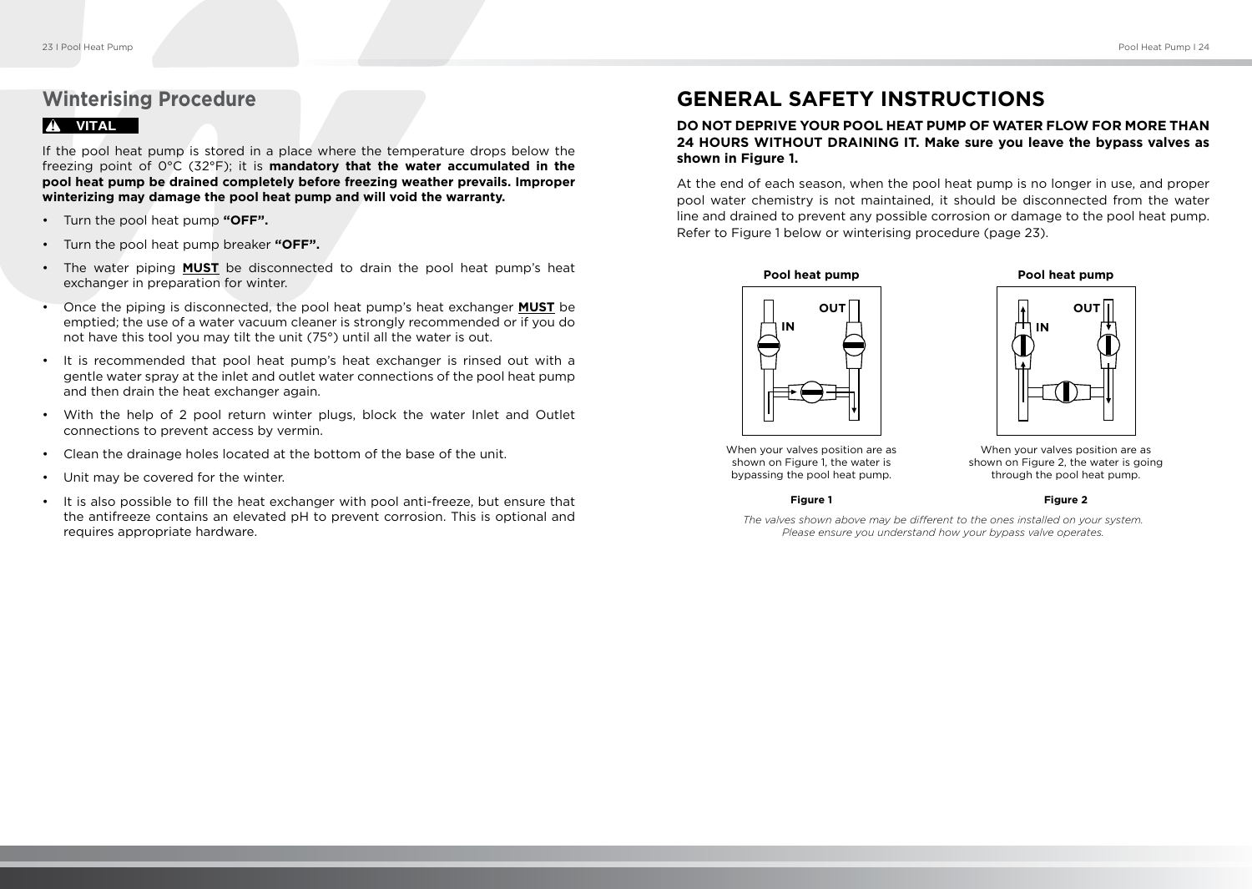# **Winterising Procedure**

#### ! **VITAL**

If the pool heat pump is stored in a place where the temperature drops below the freezing point of 0°C (32°F); it is **mandatory that the water accumulated in the pool heat pump be drained completely before freezing weather prevails. Improper winterizing may damage the pool heat pump and will void the warranty.**

- Turn the pool heat pump **"OFF".**
- Turn the pool heat pump breaker **"OFF".**
- The water piping **MUST** be disconnected to drain the pool heat pump's heat exchanger in preparation for winter.
- Once the piping is disconnected, the pool heat pump's heat exchanger **MUST** be emptied; the use of a water vacuum cleaner is strongly recommended or if you do not have this tool you may tilt the unit (75°) until all the water is out.
- It is recommended that pool heat pump's heat exchanger is rinsed out with a gentle water spray at the inlet and outlet water connections of the pool heat pump and then drain the heat exchanger again.
- With the help of 2 pool return winter plugs, block the water Inlet and Outlet connections to prevent access by vermin.
- Clean the drainage holes located at the bottom of the base of the unit.
- Unit may be covered for the winter.
- It is also possible to fill the heat exchanger with pool anti-freeze, but ensure that the antifreeze contains an elevated pH to prevent corrosion. This is optional and requires appropriate hardware.

## **GENERAL SAFETY INSTRUCTIONS**

#### **DO NOT DEPRIVE YOUR POOL HEAT PUMP OF WATER FLOW FOR MORE THAN 24 HOURS WITHOUT DRAINING IT. Make sure you leave the bypass valves as shown in Figure 1.**

At the end of each season, when the pool heat pump is no longer in use, and proper pool water chemistry is not maintained, it should be disconnected from the water line and drained to prevent any possible corrosion or damage to the pool heat pump. Refer to Figure 1 below or winterising procedure (page 23).



**IN**

**OUT**

When your valves position are as shown on Figure 1, the water is bypassing the pool heat pump.

When your valves position are as shown on Figure 2, the water is going through the pool heat pump.

**Figure 1**

**Figure 2**

*The valves shown above may be different to the ones installed on your system. Please ensure you understand how your bypass valve operates.*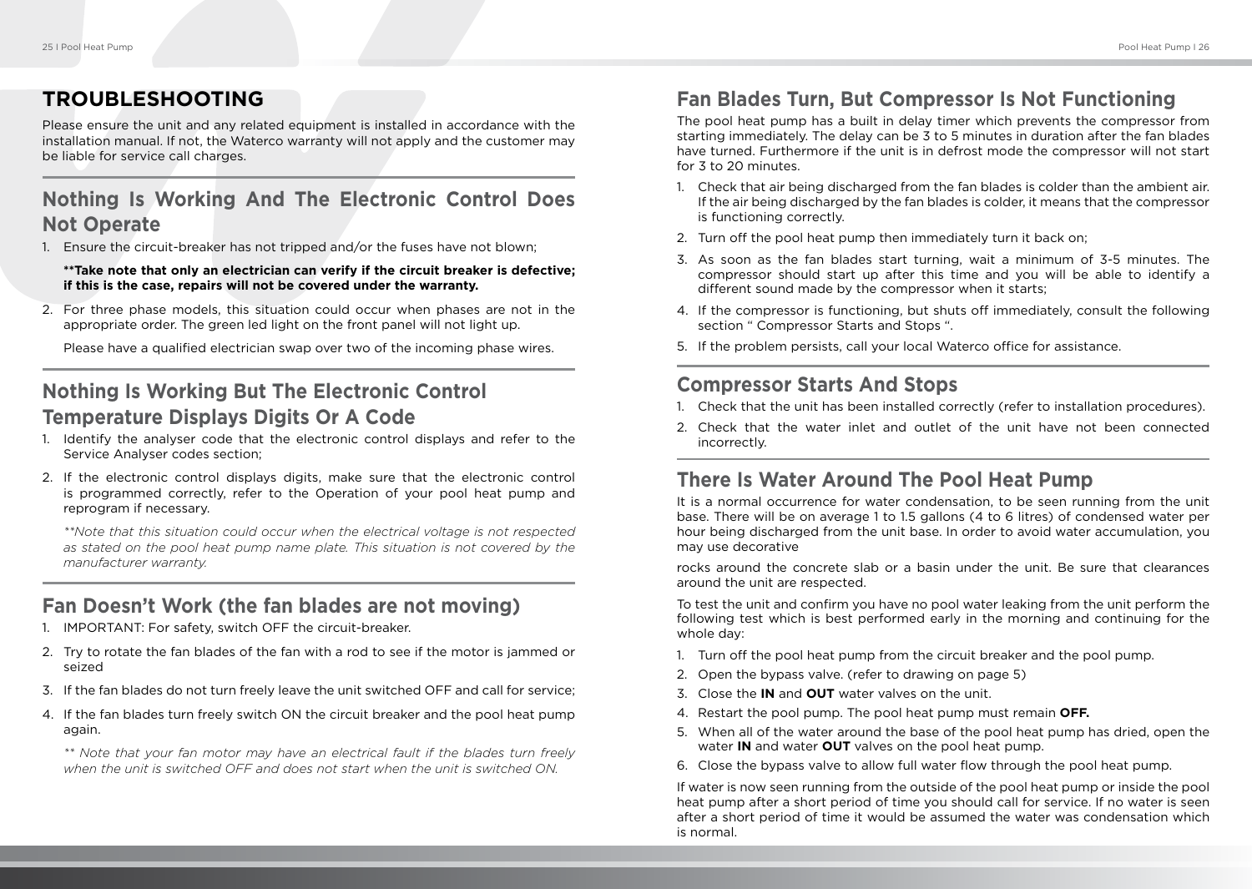# **TROUBLESHOOTING**

Please ensure the unit and any related equipment is installed in accordance with the installation manual. If not, the Waterco warranty will not apply and the customer may be liable for service call charges.

# **Nothing Is Working And The Electronic Control Does Not Operate**

1. Ensure the circuit-breaker has not tripped and/or the fuses have not blown;

**\*\*Take note that only an electrician can verify if the circuit breaker is defective; if this is the case, repairs will not be covered under the warranty.**

2. For three phase models, this situation could occur when phases are not in the appropriate order. The green led light on the front panel will not light up.

Please have a qualified electrician swap over two of the incoming phase wires.

# **Nothing Is Working But The Electronic Control Temperature Displays Digits Or A Code**

- 1. Identify the analyser code that the electronic control displays and refer to the Service Analyser codes section;
- 2. If the electronic control displays digits, make sure that the electronic control is programmed correctly, refer to the Operation of your pool heat pump and reprogram if necessary.

*\*\*Note that this situation could occur when the electrical voltage is not respected as stated on the pool heat pump name plate. This situation is not covered by the manufacturer warranty.*

# **Fan Doesn't Work (the fan blades are not moving)**

- 1. IMPORTANT: For safety, switch OFF the circuit-breaker.
- 2. Try to rotate the fan blades of the fan with a rod to see if the motor is jammed or seized
- 3. If the fan blades do not turn freely leave the unit switched OFF and call for service;
- 4. If the fan blades turn freely switch ON the circuit breaker and the pool heat pump again.

*\*\* Note that your fan motor may have an electrical fault if the blades turn freely when the unit is switched OFF and does not start when the unit is switched ON.*

# **Fan Blades Turn, But Compressor Is Not Functioning**

The pool heat pump has a built in delay timer which prevents the compressor from starting immediately. The delay can be 3 to 5 minutes in duration after the fan blades have turned. Furthermore if the unit is in defrost mode the compressor will not start for 3 to 20 minutes.

- 1. Check that air being discharged from the fan blades is colder than the ambient air. If the air being discharged by the fan blades is colder, it means that the compressor is functioning correctly.
- 2. Turn off the pool heat pump then immediately turn it back on;
- 3. As soon as the fan blades start turning, wait a minimum of 3-5 minutes. The compressor should start up after this time and you will be able to identify a different sound made by the compressor when it starts;
- 4. If the compressor is functioning, but shuts off immediately, consult the following section " Compressor Starts and Stops ".
- 5. If the problem persists, call your local Waterco office for assistance.

## **Compressor Starts And Stops**

- 1. Check that the unit has been installed correctly (refer to installation procedures).
- 2. Check that the water inlet and outlet of the unit have not been connected incorrectly.

## **There Is Water Around The Pool Heat Pump**

It is a normal occurrence for water condensation, to be seen running from the unit base. There will be on average 1 to 1.5 gallons (4 to 6 litres) of condensed water per hour being discharged from the unit base. In order to avoid water accumulation, you may use decorative

rocks around the concrete slab or a basin under the unit. Be sure that clearances around the unit are respected.

To test the unit and confirm you have no pool water leaking from the unit perform the following test which is best performed early in the morning and continuing for the whole day:

- 1. Turn off the pool heat pump from the circuit breaker and the pool pump.
- 2. Open the bypass valve. (refer to drawing on page 5)
- 3. Close the **IN** and **OUT** water valves on the unit.
- 4. Restart the pool pump. The pool heat pump must remain **OFF.**
- 5. When all of the water around the base of the pool heat pump has dried, open the water **IN** and water **OUT** valves on the pool heat pump.
- 6. Close the bypass valve to allow full water flow through the pool heat pump.

If water is now seen running from the outside of the pool heat pump or inside the pool heat pump after a short period of time you should call for service. If no water is seen after a short period of time it would be assumed the water was condensation which is normal.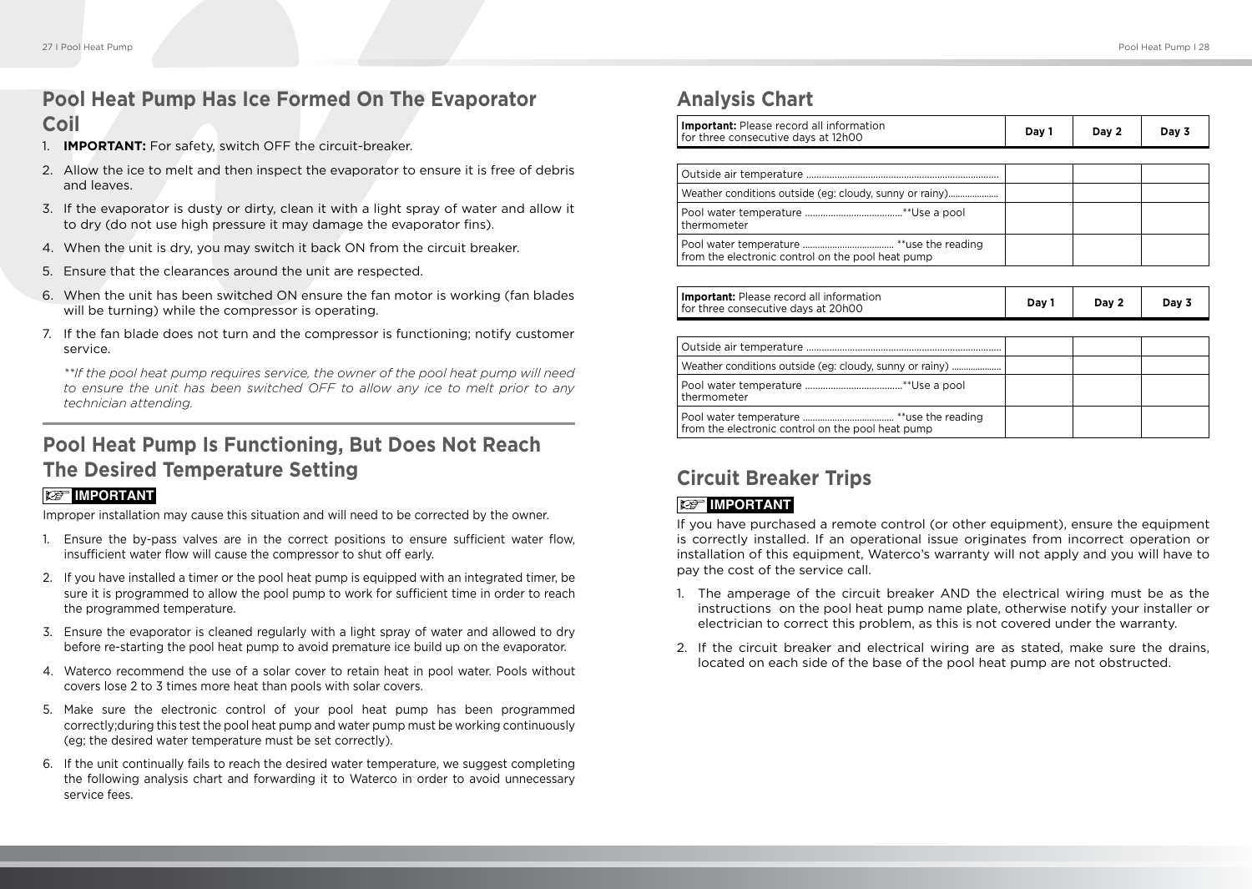# **Pool Heat Pump Has Ice Formed On The Evaporator**

## **Coil**

- 1. **IMPORTANT:** For safety, switch OFF the circuit-breaker.
- 2. Allow the ice to melt and then inspect the evaporator to ensure it is free of debris and leaves.
- 3. If the evaporator is dusty or dirty, clean it with a light spray of water and allow it to dry (do not use high pressure it may damage the evaporator fins).
- 4. When the unit is dry, you may switch it back ON from the circuit breaker.
- 5. Ensure that the clearances around the unit are respected.
- 6. When the unit has been switched ON ensure the fan motor is working (fan blades will be turning) while the compressor is operating.
- 7. If the fan blade does not turn and the compressor is functioning; notify customer service.

*\*\*If the pool heat pump requires service, the owner of the pool heat pump will need to ensure the unit has been switched OFF to allow any ice to melt prior to any technician attending.*

# **Pool Heat Pump Is Functioning, But Does Not Reach The Desired Temperature Setting**

#### **IMPORTANT**

Improper installation may cause this situation and will need to be corrected by the owner.

- 1. Ensure the by-pass valves are in the correct positions to ensure sufficient water flow, insufficient water flow will cause the compressor to shut off early.
- 2. If you have installed a timer or the pool heat pump is equipped with an integrated timer, be sure it is programmed to allow the pool pump to work for sufficient time in order to reach the programmed temperature.
- 3. Ensure the evaporator is cleaned regularly with a light spray of water and allowed to dry before re-starting the pool heat pump to avoid premature ice build up on the evaporator.
- 4. Waterco recommend the use of a solar cover to retain heat in pool water. Pools without covers lose 2 to 3 times more heat than pools with solar covers.
- 5. Make sure the electronic control of your pool heat pump has been programmed correctly;during this test the pool heat pump and water pump must be working continuously (eg; the desired water temperature must be set correctly).
- 6. If the unit continually fails to reach the desired water temperature, we suggest completing the following analysis chart and forwarding it to Waterco in order to avoid unnecessary service fees.

## **Analysis Chart**

| <b>Important:</b> Please record all information<br>for three consecutive days at 12h00 | Day 1 | Day 2 | Day 3 |
|----------------------------------------------------------------------------------------|-------|-------|-------|
|                                                                                        |       |       |       |
|                                                                                        |       |       |       |
| Weather conditions outside (eg: cloudy, sunny or rainy)                                |       |       |       |
| thermometer                                                                            |       |       |       |
| from the electronic control on the pool heat pump                                      |       |       |       |
|                                                                                        |       |       |       |
| <b>Important:</b> Please record all information<br>for three consecutive days at 20h00 | Day 1 | Day 2 | Day 3 |
|                                                                                        |       |       |       |
|                                                                                        |       |       |       |
| Weather conditions outside (eg: cloudy, sunny or rainy)                                |       |       |       |
|                                                                                        |       |       |       |

# **Circuit Breaker Trips**

Pool water temperature ..................................... \*\*use the reading from the electronic control on the pool heat pump

#### **IMPORTANT**

thermometer

If you have purchased a remote control (or other equipment), ensure the equipment is correctly installed. If an operational issue originates from incorrect operation or installation of this equipment, Waterco's warranty will not apply and you will have to pay the cost of the service call.

- 1. The amperage of the circuit breaker AND the electrical wiring must be as the instructions on the pool heat pump name plate, otherwise notify your installer or electrician to correct this problem, as this is not covered under the warranty.
- 2. If the circuit breaker and electrical wiring are as stated, make sure the drains, located on each side of the base of the pool heat pump are not obstructed.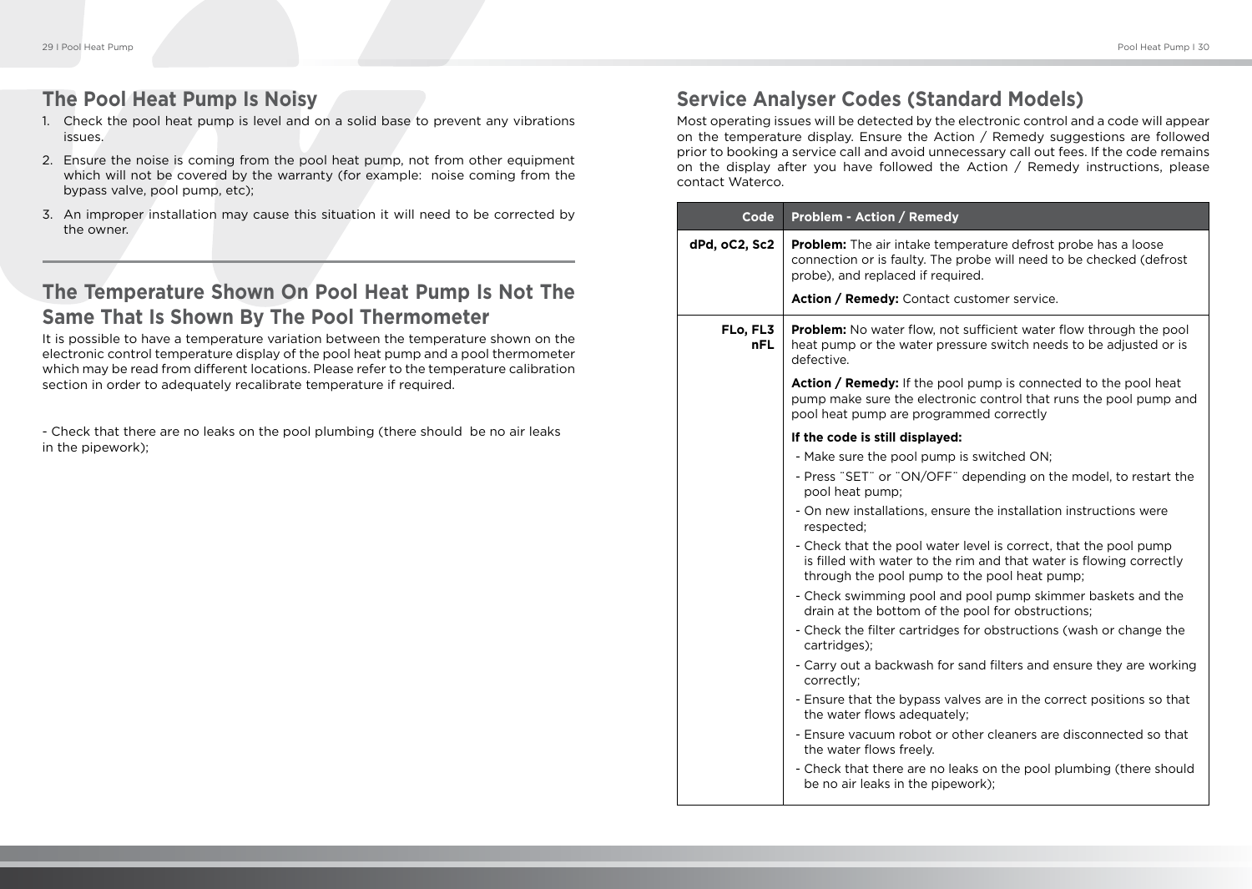## **The Pool Heat Pump Is Noisy**

- 1. Check the pool heat pump is level and on a solid base to prevent any vibrations issues.
- 2. Ensure the noise is coming from the pool heat pump, not from other equipment which will not be covered by the warranty (for example: noise coming from the bypass valve, pool pump, etc);
- 3. An improper installation may cause this situation it will need to be corrected by the owner.

# **The Temperature Shown On Pool Heat Pump Is Not The Same That Is Shown By The Pool Thermometer**

It is possible to have a temperature variation between the temperature shown on the electronic control temperature display of the pool heat pump and a pool thermometer which may be read from different locations. Please refer to the temperature calibration section in order to adequately recalibrate temperature if required.

- Check that there are no leaks on the pool plumbing (there should be no air leaks in the pipework);

# **Service Analyser Codes (Standard Models)**

Most operating issues will be detected by the electronic control and a code will appear on the temperature display. Ensure the Action / Remedy suggestions are followed prior to booking a service call and avoid unnecessary call out fees. If the code remains on the display after you have followed the Action / Remedy instructions, please contact Waterco.

| Code            | <b>Problem - Action / Remedy</b>                                                                                                                                                        |
|-----------------|-----------------------------------------------------------------------------------------------------------------------------------------------------------------------------------------|
| dPd, oC2, Sc2   | <b>Problem:</b> The air intake temperature defrost probe has a loose<br>connection or is faulty. The probe will need to be checked (defrost<br>probe), and replaced if required.        |
|                 | Action / Remedy: Contact customer service.                                                                                                                                              |
| FLo, FL3<br>nFL | <b>Problem:</b> No water flow, not sufficient water flow through the pool<br>heat pump or the water pressure switch needs to be adjusted or is<br>defective.                            |
|                 | <b>Action / Remedy:</b> If the pool pump is connected to the pool heat<br>pump make sure the electronic control that runs the pool pump and<br>pool heat pump are programmed correctly  |
|                 | If the code is still displayed:                                                                                                                                                         |
|                 | - Make sure the pool pump is switched ON;                                                                                                                                               |
|                 | - Press "SET" or "ON/OFF" depending on the model, to restart the<br>pool heat pump;                                                                                                     |
|                 | - On new installations, ensure the installation instructions were<br>respected;                                                                                                         |
|                 | - Check that the pool water level is correct, that the pool pump<br>is filled with water to the rim and that water is flowing correctly<br>through the pool pump to the pool heat pump; |
|                 | - Check swimming pool and pool pump skimmer baskets and the<br>drain at the bottom of the pool for obstructions;                                                                        |
|                 | - Check the filter cartridges for obstructions (wash or change the<br>cartridges);                                                                                                      |
|                 | - Carry out a backwash for sand filters and ensure they are working<br>correctly;                                                                                                       |
|                 | - Ensure that the bypass valves are in the correct positions so that<br>the water flows adequately;                                                                                     |
|                 | - Ensure vacuum robot or other cleaners are disconnected so that<br>the water flows freely.                                                                                             |
|                 | - Check that there are no leaks on the pool plumbing (there should<br>be no air leaks in the pipework);                                                                                 |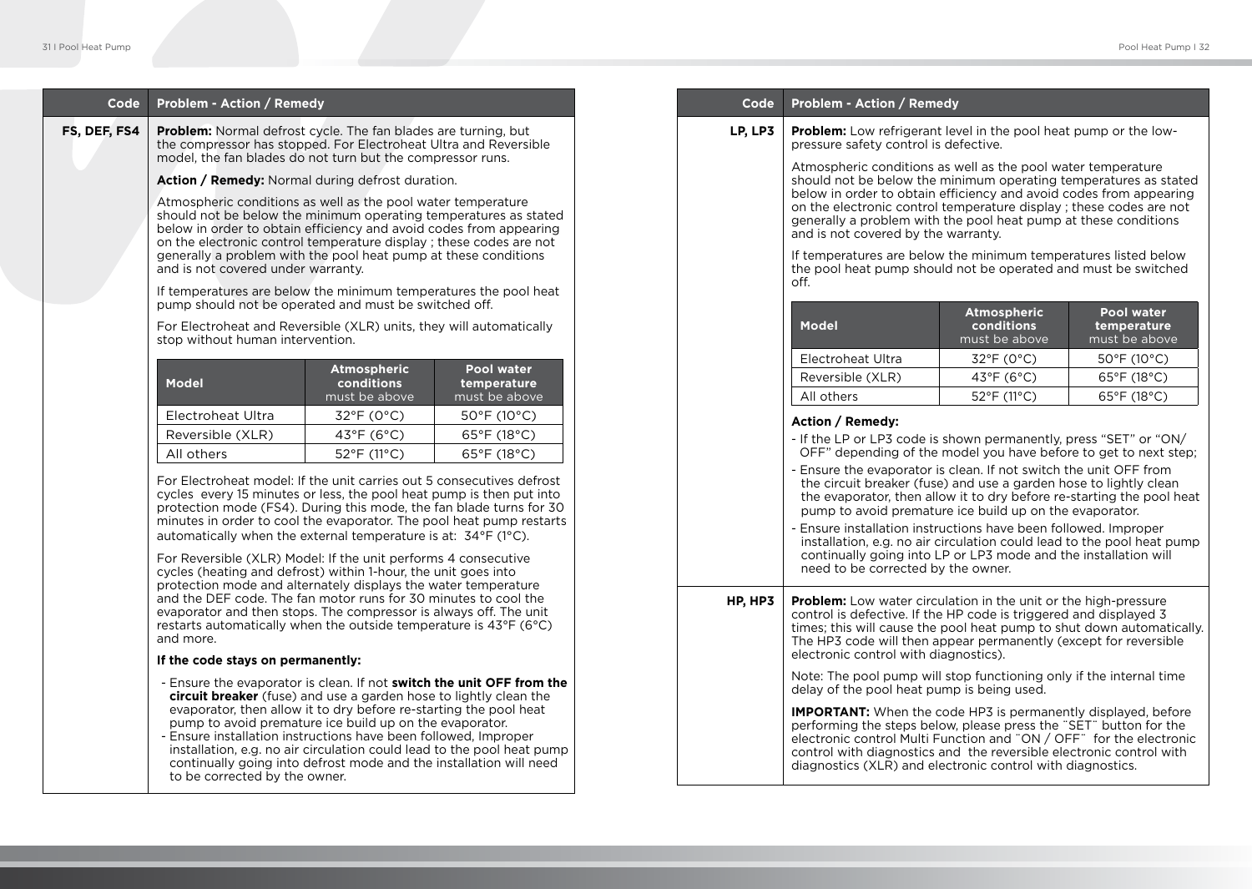| Code                                                                                                                                                                                                                                                                                                                                                                                                                                                                                                                                                                                               | Problem - Action / Remedy                                                                                                                                                                                                                                                                                                                       |                           |                                  | Code                                                                                                                                                                                                                                                                                                                                                                          | Problem - Action / Remedy                                                                                                                                                                                                                                                                                                                                                                                                                                  |                                                                                                                                                 |                                                                  |
|----------------------------------------------------------------------------------------------------------------------------------------------------------------------------------------------------------------------------------------------------------------------------------------------------------------------------------------------------------------------------------------------------------------------------------------------------------------------------------------------------------------------------------------------------------------------------------------------------|-------------------------------------------------------------------------------------------------------------------------------------------------------------------------------------------------------------------------------------------------------------------------------------------------------------------------------------------------|---------------------------|----------------------------------|-------------------------------------------------------------------------------------------------------------------------------------------------------------------------------------------------------------------------------------------------------------------------------------------------------------------------------------------------------------------------------|------------------------------------------------------------------------------------------------------------------------------------------------------------------------------------------------------------------------------------------------------------------------------------------------------------------------------------------------------------------------------------------------------------------------------------------------------------|-------------------------------------------------------------------------------------------------------------------------------------------------|------------------------------------------------------------------|
| FS, DEF, FS4                                                                                                                                                                                                                                                                                                                                                                                                                                                                                                                                                                                       | <b>Problem:</b> Normal defrost cycle. The fan blades are turning, but<br>the compressor has stopped. For Electroheat Ultra and Reversible<br>model, the fan blades do not turn but the compressor runs.                                                                                                                                         |                           |                                  | LP, LP3                                                                                                                                                                                                                                                                                                                                                                       | <b>Problem:</b> Low refrigerant level in the pool heat pump or the low-<br>pressure safety control is defective.                                                                                                                                                                                                                                                                                                                                           |                                                                                                                                                 |                                                                  |
|                                                                                                                                                                                                                                                                                                                                                                                                                                                                                                                                                                                                    | <b>Action / Remedy:</b> Normal during defrost duration.                                                                                                                                                                                                                                                                                         |                           |                                  |                                                                                                                                                                                                                                                                                                                                                                               | Atmospheric conditions as well as the pool water temperature<br>should not be below the minimum operating temperatures as stated<br>below in order to obtain efficiency and avoid codes from appearing<br>on the electronic control temperature display ; these codes are not<br>generally a problem with the pool heat pump at these conditions<br>and is not covered by the warranty.<br>If temperatures are below the minimum temperatures listed below |                                                                                                                                                 |                                                                  |
|                                                                                                                                                                                                                                                                                                                                                                                                                                                                                                                                                                                                    | Atmospheric conditions as well as the pool water temperature<br>should not be below the minimum operating temperatures as stated<br>below in order to obtain efficiency and avoid codes from appearing<br>on the electronic control temperature display; these codes are not<br>generally a problem with the pool heat pump at these conditions |                           |                                  |                                                                                                                                                                                                                                                                                                                                                                               |                                                                                                                                                                                                                                                                                                                                                                                                                                                            |                                                                                                                                                 |                                                                  |
|                                                                                                                                                                                                                                                                                                                                                                                                                                                                                                                                                                                                    | and is not covered under warranty.<br>If temperatures are below the minimum temperatures the pool heat                                                                                                                                                                                                                                          |                           |                                  |                                                                                                                                                                                                                                                                                                                                                                               | the pool heat pump should not be operated and must be switched<br>off.                                                                                                                                                                                                                                                                                                                                                                                     |                                                                                                                                                 |                                                                  |
|                                                                                                                                                                                                                                                                                                                                                                                                                                                                                                                                                                                                    | pump should not be operated and must be switched off.<br>For Electroheat and Reversible (XLR) units, they will automatically<br>stop without human intervention.                                                                                                                                                                                |                           |                                  |                                                                                                                                                                                                                                                                                                                                                                               | <b>Model</b>                                                                                                                                                                                                                                                                                                                                                                                                                                               | <b>Atmospheric</b><br>conditions<br>must be above                                                                                               | <b>Pool water</b><br>temperature<br>must be above                |
|                                                                                                                                                                                                                                                                                                                                                                                                                                                                                                                                                                                                    |                                                                                                                                                                                                                                                                                                                                                 | Atmospheric               | <b>Pool water</b>                |                                                                                                                                                                                                                                                                                                                                                                               | Electroheat Ultra                                                                                                                                                                                                                                                                                                                                                                                                                                          | 32°F (0°C)                                                                                                                                      | 50°F (10°C)                                                      |
|                                                                                                                                                                                                                                                                                                                                                                                                                                                                                                                                                                                                    | <b>Model</b>                                                                                                                                                                                                                                                                                                                                    | conditions                | temperature                      |                                                                                                                                                                                                                                                                                                                                                                               | Reversible (XLR)                                                                                                                                                                                                                                                                                                                                                                                                                                           | 43°F (6°C)                                                                                                                                      | 65°F (18°C)                                                      |
|                                                                                                                                                                                                                                                                                                                                                                                                                                                                                                                                                                                                    |                                                                                                                                                                                                                                                                                                                                                 | must be above             | must be above                    |                                                                                                                                                                                                                                                                                                                                                                               | All others                                                                                                                                                                                                                                                                                                                                                                                                                                                 | 52°F (11°C)                                                                                                                                     | 65°F (18°C)                                                      |
|                                                                                                                                                                                                                                                                                                                                                                                                                                                                                                                                                                                                    | Electroheat Ultra                                                                                                                                                                                                                                                                                                                               | $32^{\circ}F(0^{\circ}C)$ | $50^{\circ}$ F (10 $^{\circ}$ C) |                                                                                                                                                                                                                                                                                                                                                                               | Action / Remedy:                                                                                                                                                                                                                                                                                                                                                                                                                                           |                                                                                                                                                 |                                                                  |
|                                                                                                                                                                                                                                                                                                                                                                                                                                                                                                                                                                                                    | Reversible (XLR)<br>All others                                                                                                                                                                                                                                                                                                                  | 43°F (6°C)                | 65°F (18°C)                      |                                                                                                                                                                                                                                                                                                                                                                               | - If the LP or LP3 code is shown permanently, press "SET" or "ON/                                                                                                                                                                                                                                                                                                                                                                                          |                                                                                                                                                 | OFF" depending of the model you have before to get to next step; |
| 52°F (11°C)<br>65°F (18°C)<br>For Electroheat model: If the unit carries out 5 consecutives defrost<br>cycles every 15 minutes or less, the pool heat pump is then put into<br>protection mode (FS4). During this mode, the fan blade turns for 30<br>minutes in order to cool the evaporator. The pool heat pump restarts<br>automatically when the external temperature is at: 34°F (1°C).<br>For Reversible (XLR) Model: If the unit performs 4 consecutive<br>cycles (heating and defrost) within 1-hour, the unit goes into<br>protection mode and alternately displays the water temperature |                                                                                                                                                                                                                                                                                                                                                 |                           |                                  | - Ensure the evaporator is clean. If not switch the unit OFF from<br>the circuit breaker (fuse) and use a garden hose to lightly clean<br>pump to avoid premature ice build up on the evaporator.<br>- Ensure installation instructions have been followed. Improper<br>continually going into LP or LP3 mode and the installation will<br>need to be corrected by the owner. |                                                                                                                                                                                                                                                                                                                                                                                                                                                            | the evaporator, then allow it to dry before re-starting the pool heat<br>installation, e.g. no air circulation could lead to the pool heat pump |                                                                  |
|                                                                                                                                                                                                                                                                                                                                                                                                                                                                                                                                                                                                    | and the DEF code. The fan motor runs for 30 minutes to cool the<br>evaporator and then stops. The compressor is always off. The unit<br>restarts automatically when the outside temperature is 43°F (6°C)<br>and more.<br>If the code stays on permanently:                                                                                     |                           |                                  | HP, HP3                                                                                                                                                                                                                                                                                                                                                                       | <b>Problem:</b> Low water circulation in the unit or the high-pressure<br>control is defective. If the HP code is triggered and displayed 3<br>times; this will cause the pool heat pump to shut down automatically.<br>The HP3 code will then appear permanently (except for reversible<br>electronic control with diagnostics).                                                                                                                          |                                                                                                                                                 |                                                                  |
|                                                                                                                                                                                                                                                                                                                                                                                                                                                                                                                                                                                                    | - Ensure the evaporator is clean. If not switch the unit OFF from the                                                                                                                                                                                                                                                                           |                           |                                  |                                                                                                                                                                                                                                                                                                                                                                               | Note: The pool pump will stop functioning only if the internal time                                                                                                                                                                                                                                                                                                                                                                                        |                                                                                                                                                 |                                                                  |
| circuit breaker (fuse) and use a garden hose to lightly clean the<br>evaporator, then allow it to dry before re-starting the pool heat<br>pump to avoid premature ice build up on the evaporator.<br>- Ensure installation instructions have been followed, Improper<br>installation, e.g. no air circulation could lead to the pool heat pump<br>continually going into defrost mode and the installation will need<br>to be corrected by the owner.                                                                                                                                              |                                                                                                                                                                                                                                                                                                                                                 |                           |                                  |                                                                                                                                                                                                                                                                                                                                                                               | delay of the pool heat pump is being used.<br><b>IMPORTANT:</b> When the code HP3 is permanently displayed, before<br>performing the steps below, please press the "SET" button for the<br>electronic control Multi Function and "ON / OFF" for the electronic<br>control with diagnostics and the reversible electronic control with<br>diagnostics (XLR) and electronic control with diagnostics.                                                        |                                                                                                                                                 |                                                                  |